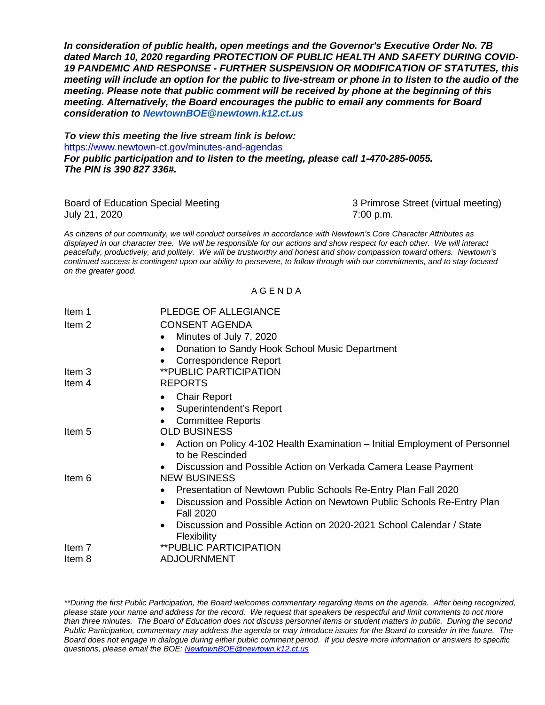*In consideration of public health, open meetings and the Governor's Executive Order No. 7B dated March 10, 2020 regarding PROTECTION OF PUBLIC HEALTH AND SAFETY DURING COVID-19 PANDEMIC AND RESPONSE - FURTHER SUSPENSION OR MODIFICATION OF STATUTES, this meeting will include an option for the public to live-stream or phone in to listen to the audio of the meeting. Please note that public comment will be received by phone at the beginning of this meeting. Alternatively, the Board encourages the public to email any comments for Board consideration to [NewtownBOE@newtown.k12.ct.us](mailto:NewtownBOE@newtown.k12.ct.us)*

*To view this meeting the live stream link is below:* <https://www.newtown-ct.gov/minutes-and-agendas> *For public participation and to listen to the meeting, please call 1-470-285-0055. The PIN is 390 827 336#.*

| Board of Education Special Meeting | 3 Primrose Street (virtual meeting) |
|------------------------------------|-------------------------------------|
| July 21, 2020                      | 7:00 p.m.                           |

*As citizens of our community, we will conduct ourselves in accordance with Newtown's Core Character Attributes as displayed in our character tree. We will be responsible for our actions and show respect for each other. We will interact peacefully, productively, and politely. We will be trustworthy and honest and show compassion toward others. Newtown's continued success is contingent upon our ability to persevere, to follow through with our commitments, and to stay focused on the greater good.*

#### A G E N D A

| Item 1            | PLEDGE OF ALLEGIANCE                                                                                    |
|-------------------|---------------------------------------------------------------------------------------------------------|
| Item <sub>2</sub> | <b>CONSENT AGENDA</b>                                                                                   |
|                   | Minutes of July 7, 2020<br>$\bullet$                                                                    |
|                   | Donation to Sandy Hook School Music Department<br>$\bullet$                                             |
|                   | <b>Correspondence Report</b>                                                                            |
| Item 3            | <b>**PUBLIC PARTICIPATION</b>                                                                           |
| Item 4            | <b>REPORTS</b>                                                                                          |
|                   | <b>Chair Report</b><br>$\bullet$                                                                        |
|                   | Superintendent's Report                                                                                 |
|                   | <b>Committee Reports</b>                                                                                |
| Item 5            | <b>OLD BUSINESS</b>                                                                                     |
|                   | Action on Policy 4-102 Health Examination – Initial Employment of Personnel<br>to be Rescinded          |
|                   | Discussion and Possible Action on Verkada Camera Lease Payment<br>$\bullet$                             |
| Item 6            | <b>NEW BUSINESS</b>                                                                                     |
|                   | Presentation of Newtown Public Schools Re-Entry Plan Fall 2020<br>٠                                     |
|                   | Discussion and Possible Action on Newtown Public Schools Re-Entry Plan<br>$\bullet$<br><b>Fall 2020</b> |
|                   | Discussion and Possible Action on 2020-2021 School Calendar / State<br>$\bullet$<br>Flexibility         |
| Item 7            | <b>**PUBLIC PARTICIPATION</b>                                                                           |
| Item 8            | <b>ADJOURNMENT</b>                                                                                      |

*\*\*During the first Public Participation, the Board welcomes commentary regarding items on the agenda. After being recognized, please state your name and address for the record. We request that speakers be respectful and limit comments to not more than three minutes. The Board of Education does not discuss personnel items or student matters in public. During the second Public Participation, commentary may address the agenda or may introduce issues for the Board to consider in the future. The Board does not engage in dialogue during either public comment period. If you desire more information or answers to specific questions, please email the BOE[: NewtownBOE@newtown.k12.ct.us](mailto:NewtownBOE@newtown.k12.ct.us)*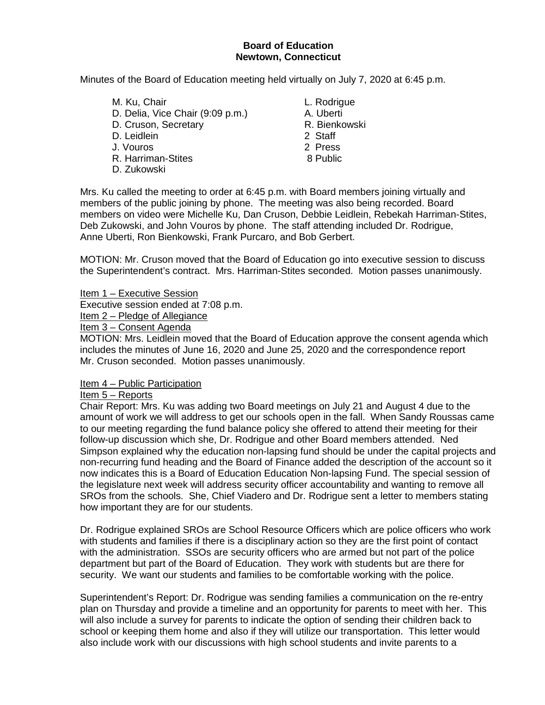#### **Board of Education Newtown, Connecticut**

Minutes of the Board of Education meeting held virtually on July 7, 2020 at 6:45 p.m.

M. Ku, Chair **M. Ku, Chair** L. Rodrigue D. Delia, Vice Chair (9:09 p.m.) A. Uberti D. Cruson, Secretary **R. Bienkowski**<br>
D. Leidlein 1996 D. Leidlein J. Vouros 2 Press R. Harriman-Stites 8 Public D. Zukowski

- 
- 
- 

Mrs. Ku called the meeting to order at 6:45 p.m. with Board members joining virtually and members of the public joining by phone. The meeting was also being recorded. Board members on video were Michelle Ku, Dan Cruson, Debbie Leidlein, Rebekah Harriman-Stites, Deb Zukowski, and John Vouros by phone. The staff attending included Dr. Rodrigue, Anne Uberti, Ron Bienkowski, Frank Purcaro, and Bob Gerbert.

MOTION: Mr. Cruson moved that the Board of Education go into executive session to discuss the Superintendent's contract. Mrs. Harriman-Stites seconded. Motion passes unanimously.

Item 1 – Executive Session

Executive session ended at 7:08 p.m.

Item 2 – Pledge of Allegiance

Item 3 – Consent Agenda

MOTION: Mrs. Leidlein moved that the Board of Education approve the consent agenda which includes the minutes of June 16, 2020 and June 25, 2020 and the correspondence report Mr. Cruson seconded. Motion passes unanimously.

#### Item 4 – Public Participation

#### Item 5 – Reports

Chair Report: Mrs. Ku was adding two Board meetings on July 21 and August 4 due to the amount of work we will address to get our schools open in the fall. When Sandy Roussas came to our meeting regarding the fund balance policy she offered to attend their meeting for their follow-up discussion which she, Dr. Rodrigue and other Board members attended. Ned Simpson explained why the education non-lapsing fund should be under the capital projects and non-recurring fund heading and the Board of Finance added the description of the account so it now indicates this is a Board of Education Education Non-lapsing Fund. The special session of the legislature next week will address security officer accountability and wanting to remove all SROs from the schools. She, Chief Viadero and Dr. Rodrigue sent a letter to members stating how important they are for our students.

Dr. Rodrigue explained SROs are School Resource Officers which are police officers who work with students and families if there is a disciplinary action so they are the first point of contact with the administration. SSOs are security officers who are armed but not part of the police department but part of the Board of Education. They work with students but are there for security. We want our students and families to be comfortable working with the police.

Superintendent's Report: Dr. Rodrigue was sending families a communication on the re-entry plan on Thursday and provide a timeline and an opportunity for parents to meet with her. This will also include a survey for parents to indicate the option of sending their children back to school or keeping them home and also if they will utilize our transportation. This letter would also include work with our discussions with high school students and invite parents to a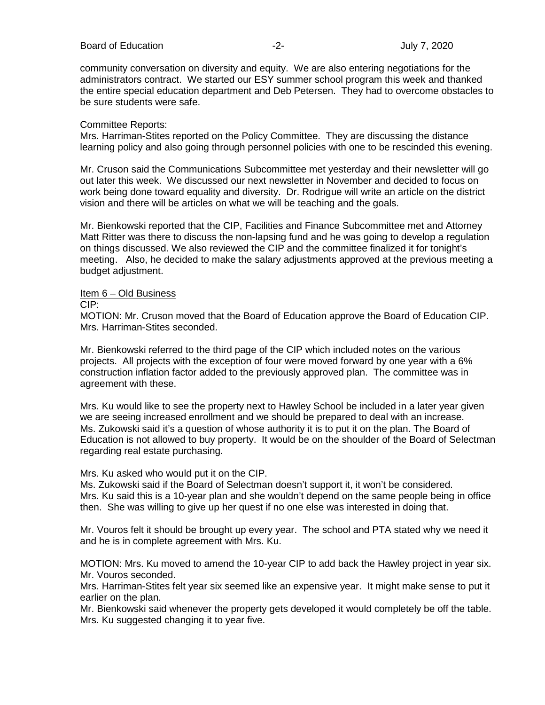#### Board of Education **-2-** Figure 2020 **July 7, 2020**

community conversation on diversity and equity. We are also entering negotiations for the administrators contract. We started our ESY summer school program this week and thanked the entire special education department and Deb Petersen. They had to overcome obstacles to be sure students were safe.

#### Committee Reports:

Mrs. Harriman-Stites reported on the Policy Committee. They are discussing the distance learning policy and also going through personnel policies with one to be rescinded this evening.

Mr. Cruson said the Communications Subcommittee met yesterday and their newsletter will go out later this week. We discussed our next newsletter in November and decided to focus on work being done toward equality and diversity. Dr. Rodrique will write an article on the district vision and there will be articles on what we will be teaching and the goals.

Mr. Bienkowski reported that the CIP, Facilities and Finance Subcommittee met and Attorney Matt Ritter was there to discuss the non-lapsing fund and he was going to develop a regulation on things discussed. We also reviewed the CIP and the committee finalized it for tonight's meeting. Also, he decided to make the salary adjustments approved at the previous meeting a budget adjustment.

#### Item 6 – Old Business

CIP:

MOTION: Mr. Cruson moved that the Board of Education approve the Board of Education CIP. Mrs. Harriman-Stites seconded.

Mr. Bienkowski referred to the third page of the CIP which included notes on the various projects. All projects with the exception of four were moved forward by one year with a 6% construction inflation factor added to the previously approved plan. The committee was in agreement with these.

Mrs. Ku would like to see the property next to Hawley School be included in a later year given we are seeing increased enrollment and we should be prepared to deal with an increase. Ms. Zukowski said it's a question of whose authority it is to put it on the plan. The Board of Education is not allowed to buy property. It would be on the shoulder of the Board of Selectman regarding real estate purchasing.

#### Mrs. Ku asked who would put it on the CIP.

Ms. Zukowski said if the Board of Selectman doesn't support it, it won't be considered. Mrs. Ku said this is a 10-year plan and she wouldn't depend on the same people being in office then. She was willing to give up her quest if no one else was interested in doing that.

Mr. Vouros felt it should be brought up every year. The school and PTA stated why we need it and he is in complete agreement with Mrs. Ku.

MOTION: Mrs. Ku moved to amend the 10-year CIP to add back the Hawley project in year six. Mr. Vouros seconded.

Mrs. Harriman-Stites felt year six seemed like an expensive year. It might make sense to put it earlier on the plan.

Mr. Bienkowski said whenever the property gets developed it would completely be off the table. Mrs. Ku suggested changing it to year five.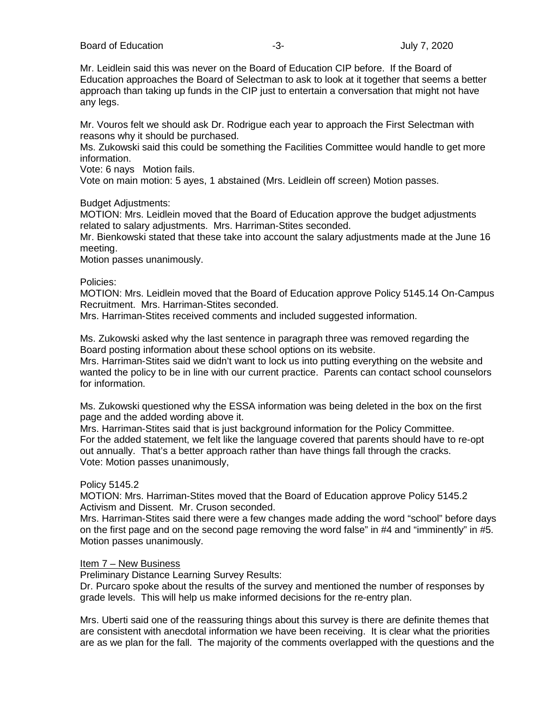Board of Education **Contains the Contract Contains a S**-3- **July 7, 2020** 

Mr. Leidlein said this was never on the Board of Education CIP before. If the Board of Education approaches the Board of Selectman to ask to look at it together that seems a better approach than taking up funds in the CIP just to entertain a conversation that might not have any legs.

Mr. Vouros felt we should ask Dr. Rodrigue each year to approach the First Selectman with reasons why it should be purchased.

Ms. Zukowski said this could be something the Facilities Committee would handle to get more information.

Vote: 6 nays Motion fails.

Vote on main motion: 5 ayes, 1 abstained (Mrs. Leidlein off screen) Motion passes.

#### Budget Adjustments:

MOTION: Mrs. Leidlein moved that the Board of Education approve the budget adjustments related to salary adjustments. Mrs. Harriman-Stites seconded.

Mr. Bienkowski stated that these take into account the salary adjustments made at the June 16 meeting.

Motion passes unanimously.

Policies:

MOTION: Mrs. Leidlein moved that the Board of Education approve Policy 5145.14 On-Campus Recruitment. Mrs. Harriman-Stites seconded.

Mrs. Harriman-Stites received comments and included suggested information.

Ms. Zukowski asked why the last sentence in paragraph three was removed regarding the Board posting information about these school options on its website.

Mrs. Harriman-Stites said we didn't want to lock us into putting everything on the website and wanted the policy to be in line with our current practice. Parents can contact school counselors for information.

Ms. Zukowski questioned why the ESSA information was being deleted in the box on the first page and the added wording above it.

Mrs. Harriman-Stites said that is just background information for the Policy Committee. For the added statement, we felt like the language covered that parents should have to re-opt out annually. That's a better approach rather than have things fall through the cracks. Vote: Motion passes unanimously,

#### Policy 5145.2

MOTION: Mrs. Harriman-Stites moved that the Board of Education approve Policy 5145.2 Activism and Dissent. Mr. Cruson seconded.

Mrs. Harriman-Stites said there were a few changes made adding the word "school" before days on the first page and on the second page removing the word false" in #4 and "imminently" in #5. Motion passes unanimously.

#### Item 7 – New Business

Preliminary Distance Learning Survey Results:

Dr. Purcaro spoke about the results of the survey and mentioned the number of responses by grade levels. This will help us make informed decisions for the re-entry plan.

Mrs. Uberti said one of the reassuring things about this survey is there are definite themes that are consistent with anecdotal information we have been receiving. It is clear what the priorities are as we plan for the fall. The majority of the comments overlapped with the questions and the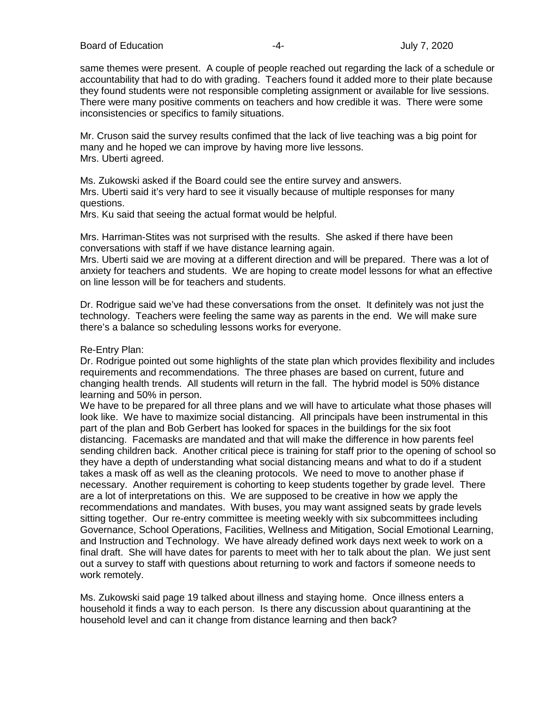same themes were present. A couple of people reached out regarding the lack of a schedule or accountability that had to do with grading. Teachers found it added more to their plate because they found students were not responsible completing assignment or available for live sessions. There were many positive comments on teachers and how credible it was. There were some inconsistencies or specifics to family situations.

Mr. Cruson said the survey results confimed that the lack of live teaching was a big point for many and he hoped we can improve by having more live lessons. Mrs. Uberti agreed.

Ms. Zukowski asked if the Board could see the entire survey and answers. Mrs. Uberti said it's very hard to see it visually because of multiple responses for many questions.

Mrs. Ku said that seeing the actual format would be helpful.

Mrs. Harriman-Stites was not surprised with the results. She asked if there have been conversations with staff if we have distance learning again.

Mrs. Uberti said we are moving at a different direction and will be prepared. There was a lot of anxiety for teachers and students. We are hoping to create model lessons for what an effective on line lesson will be for teachers and students.

Dr. Rodrigue said we've had these conversations from the onset. It definitely was not just the technology. Teachers were feeling the same way as parents in the end. We will make sure there's a balance so scheduling lessons works for everyone.

#### Re-Entry Plan:

Dr. Rodrigue pointed out some highlights of the state plan which provides flexibility and includes requirements and recommendations. The three phases are based on current, future and changing health trends. All students will return in the fall. The hybrid model is 50% distance learning and 50% in person.

We have to be prepared for all three plans and we will have to articulate what those phases will look like. We have to maximize social distancing. All principals have been instrumental in this part of the plan and Bob Gerbert has looked for spaces in the buildings for the six foot distancing. Facemasks are mandated and that will make the difference in how parents feel sending children back. Another critical piece is training for staff prior to the opening of school so they have a depth of understanding what social distancing means and what to do if a student takes a mask off as well as the cleaning protocols. We need to move to another phase if necessary. Another requirement is cohorting to keep students together by grade level. There are a lot of interpretations on this. We are supposed to be creative in how we apply the recommendations and mandates. With buses, you may want assigned seats by grade levels sitting together. Our re-entry committee is meeting weekly with six subcommittees including Governance, School Operations, Facilities, Wellness and Mitigation, Social Emotional Learning, and Instruction and Technology. We have already defined work days next week to work on a final draft. She will have dates for parents to meet with her to talk about the plan. We just sent out a survey to staff with questions about returning to work and factors if someone needs to work remotely.

Ms. Zukowski said page 19 talked about illness and staying home. Once illness enters a household it finds a way to each person. Is there any discussion about quarantining at the household level and can it change from distance learning and then back?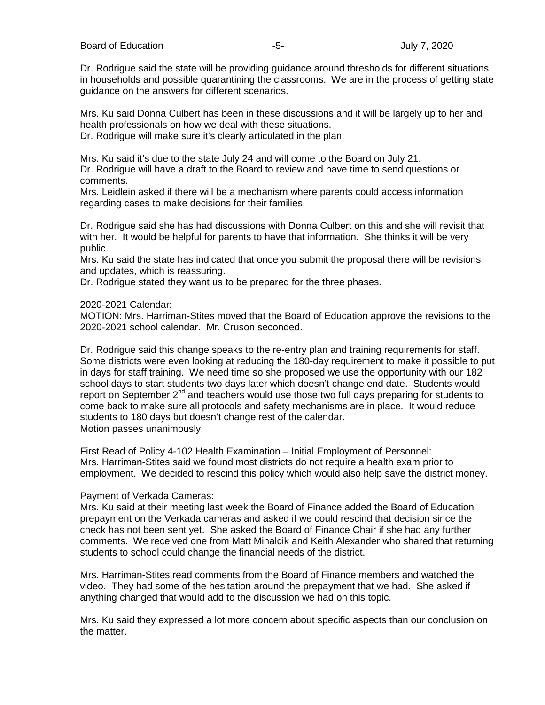Board of Education **-5-** Formulation **-5-** Formulation of Education **July 7, 2020** 

Dr. Rodrigue said the state will be providing guidance around thresholds for different situations in households and possible quarantining the classrooms. We are in the process of getting state guidance on the answers for different scenarios.

Mrs. Ku said Donna Culbert has been in these discussions and it will be largely up to her and health professionals on how we deal with these situations. Dr. Rodrigue will make sure it's clearly articulated in the plan.

Mrs. Ku said it's due to the state July 24 and will come to the Board on July 21. Dr. Rodrigue will have a draft to the Board to review and have time to send questions or comments.

Mrs. Leidlein asked if there will be a mechanism where parents could access information regarding cases to make decisions for their families.

Dr. Rodrigue said she has had discussions with Donna Culbert on this and she will revisit that with her. It would be helpful for parents to have that information. She thinks it will be very public.

Mrs. Ku said the state has indicated that once you submit the proposal there will be revisions and updates, which is reassuring.

Dr. Rodrigue stated they want us to be prepared for the three phases.

#### 2020-2021 Calendar:

MOTION: Mrs. Harriman-Stites moved that the Board of Education approve the revisions to the 2020-2021 school calendar. Mr. Cruson seconded.

Dr. Rodrigue said this change speaks to the re-entry plan and training requirements for staff. Some districts were even looking at reducing the 180-day requirement to make it possible to put in days for staff training. We need time so she proposed we use the opportunity with our 182 school days to start students two days later which doesn't change end date. Students would report on September  $2<sup>nd</sup>$  and teachers would use those two full days preparing for students to come back to make sure all protocols and safety mechanisms are in place. It would reduce students to 180 days but doesn't change rest of the calendar. Motion passes unanimously.

First Read of Policy 4-102 Health Examination – Initial Employment of Personnel: Mrs. Harriman-Stites said we found most districts do not require a health exam prior to employment. We decided to rescind this policy which would also help save the district money.

#### Payment of Verkada Cameras:

Mrs. Ku said at their meeting last week the Board of Finance added the Board of Education prepayment on the Verkada cameras and asked if we could rescind that decision since the check has not been sent yet. She asked the Board of Finance Chair if she had any further comments. We received one from Matt Mihalcik and Keith Alexander who shared that returning students to school could change the financial needs of the district.

Mrs. Harriman-Stites read comments from the Board of Finance members and watched the video. They had some of the hesitation around the prepayment that we had. She asked if anything changed that would add to the discussion we had on this topic.

Mrs. Ku said they expressed a lot more concern about specific aspects than our conclusion on the matter.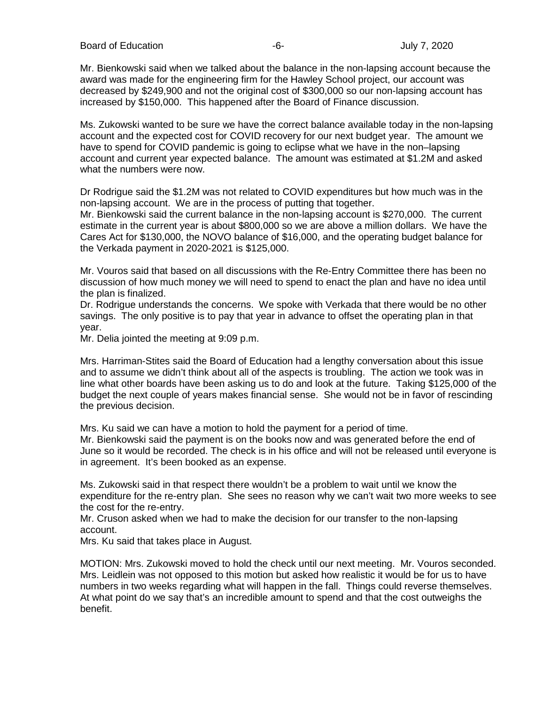Board of Education **-6-** Figure 1.1 The Section of Education **-6-** Figure 1.1 The Section 1.1 The Section 1.1 The Section 1.1 The Section 1.1 The Section 1.1 The Section 1.1 The Section 1.1 The Section 1.1 The Section 1.1

Mr. Bienkowski said when we talked about the balance in the non-lapsing account because the award was made for the engineering firm for the Hawley School project, our account was decreased by \$249,900 and not the original cost of \$300,000 so our non-lapsing account has increased by \$150,000. This happened after the Board of Finance discussion.

Ms. Zukowski wanted to be sure we have the correct balance available today in the non-lapsing account and the expected cost for COVID recovery for our next budget year. The amount we have to spend for COVID pandemic is going to eclipse what we have in the non–lapsing account and current year expected balance. The amount was estimated at \$1.2M and asked what the numbers were now.

Dr Rodrigue said the \$1.2M was not related to COVID expenditures but how much was in the non-lapsing account. We are in the process of putting that together.

Mr. Bienkowski said the current balance in the non-lapsing account is \$270,000. The current estimate in the current year is about \$800,000 so we are above a million dollars. We have the Cares Act for \$130,000, the NOVO balance of \$16,000, and the operating budget balance for the Verkada payment in 2020-2021 is \$125,000.

Mr. Vouros said that based on all discussions with the Re-Entry Committee there has been no discussion of how much money we will need to spend to enact the plan and have no idea until the plan is finalized.

Dr. Rodrigue understands the concerns. We spoke with Verkada that there would be no other savings. The only positive is to pay that year in advance to offset the operating plan in that year.

Mr. Delia jointed the meeting at 9:09 p.m.

Mrs. Harriman-Stites said the Board of Education had a lengthy conversation about this issue and to assume we didn't think about all of the aspects is troubling. The action we took was in line what other boards have been asking us to do and look at the future. Taking \$125,000 of the budget the next couple of years makes financial sense. She would not be in favor of rescinding the previous decision.

Mrs. Ku said we can have a motion to hold the payment for a period of time.

Mr. Bienkowski said the payment is on the books now and was generated before the end of June so it would be recorded. The check is in his office and will not be released until everyone is in agreement. It's been booked as an expense.

Ms. Zukowski said in that respect there wouldn't be a problem to wait until we know the expenditure for the re-entry plan. She sees no reason why we can't wait two more weeks to see the cost for the re-entry.

Mr. Cruson asked when we had to make the decision for our transfer to the non-lapsing account.

Mrs. Ku said that takes place in August.

MOTION: Mrs. Zukowski moved to hold the check until our next meeting. Mr. Vouros seconded. Mrs. Leidlein was not opposed to this motion but asked how realistic it would be for us to have numbers in two weeks regarding what will happen in the fall. Things could reverse themselves. At what point do we say that's an incredible amount to spend and that the cost outweighs the benefit.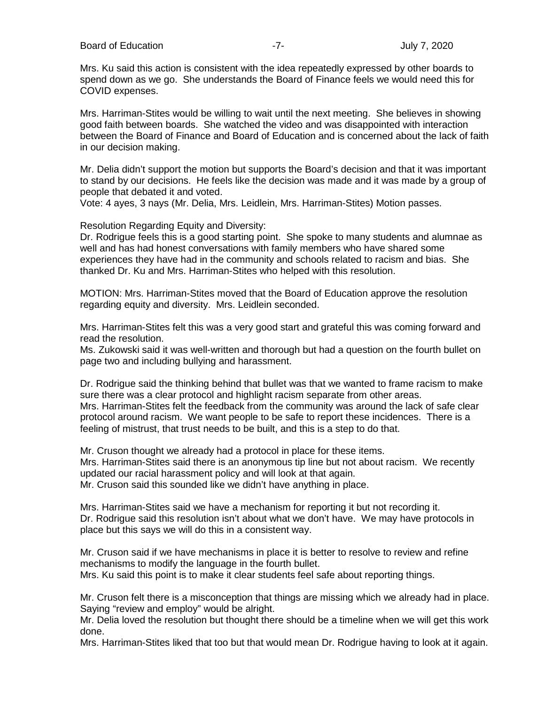Board of Education **Contains the Contract of Education** of Education **-7-** 2020

Mrs. Ku said this action is consistent with the idea repeatedly expressed by other boards to spend down as we go. She understands the Board of Finance feels we would need this for COVID expenses.

Mrs. Harriman-Stites would be willing to wait until the next meeting. She believes in showing good faith between boards. She watched the video and was disappointed with interaction between the Board of Finance and Board of Education and is concerned about the lack of faith in our decision making.

Mr. Delia didn't support the motion but supports the Board's decision and that it was important to stand by our decisions. He feels like the decision was made and it was made by a group of people that debated it and voted.

Vote: 4 ayes, 3 nays (Mr. Delia, Mrs. Leidlein, Mrs. Harriman-Stites) Motion passes.

Resolution Regarding Equity and Diversity:

Dr. Rodrigue feels this is a good starting point. She spoke to many students and alumnae as well and has had honest conversations with family members who have shared some experiences they have had in the community and schools related to racism and bias. She thanked Dr. Ku and Mrs. Harriman-Stites who helped with this resolution.

MOTION: Mrs. Harriman-Stites moved that the Board of Education approve the resolution regarding equity and diversity. Mrs. Leidlein seconded.

Mrs. Harriman-Stites felt this was a very good start and grateful this was coming forward and read the resolution.

Ms. Zukowski said it was well-written and thorough but had a question on the fourth bullet on page two and including bullying and harassment.

Dr. Rodrigue said the thinking behind that bullet was that we wanted to frame racism to make sure there was a clear protocol and highlight racism separate from other areas. Mrs. Harriman-Stites felt the feedback from the community was around the lack of safe clear protocol around racism. We want people to be safe to report these incidences. There is a feeling of mistrust, that trust needs to be built, and this is a step to do that.

Mr. Cruson thought we already had a protocol in place for these items. Mrs. Harriman-Stites said there is an anonymous tip line but not about racism. We recently updated our racial harassment policy and will look at that again.

Mr. Cruson said this sounded like we didn't have anything in place.

Mrs. Harriman-Stites said we have a mechanism for reporting it but not recording it. Dr. Rodrigue said this resolution isn't about what we don't have. We may have protocols in place but this says we will do this in a consistent way.

Mr. Cruson said if we have mechanisms in place it is better to resolve to review and refine mechanisms to modify the language in the fourth bullet.

Mrs. Ku said this point is to make it clear students feel safe about reporting things.

Mr. Cruson felt there is a misconception that things are missing which we already had in place. Saying "review and employ" would be alright.

Mr. Delia loved the resolution but thought there should be a timeline when we will get this work done.

Mrs. Harriman-Stites liked that too but that would mean Dr. Rodrigue having to look at it again.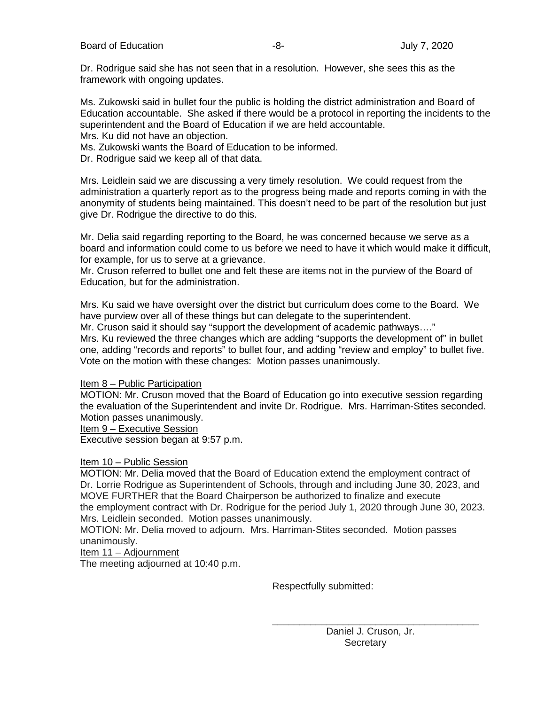Dr. Rodrigue said she has not seen that in a resolution. However, she sees this as the framework with ongoing updates.

Ms. Zukowski said in bullet four the public is holding the district administration and Board of Education accountable. She asked if there would be a protocol in reporting the incidents to the superintendent and the Board of Education if we are held accountable.

Mrs. Ku did not have an objection.

Ms. Zukowski wants the Board of Education to be informed.

Dr. Rodrigue said we keep all of that data.

Mrs. Leidlein said we are discussing a very timely resolution. We could request from the administration a quarterly report as to the progress being made and reports coming in with the anonymity of students being maintained. This doesn't need to be part of the resolution but just give Dr. Rodrigue the directive to do this.

Mr. Delia said regarding reporting to the Board, he was concerned because we serve as a board and information could come to us before we need to have it which would make it difficult, for example, for us to serve at a grievance.

Mr. Cruson referred to bullet one and felt these are items not in the purview of the Board of Education, but for the administration.

Mrs. Ku said we have oversight over the district but curriculum does come to the Board. We have purview over all of these things but can delegate to the superintendent.

Mr. Cruson said it should say "support the development of academic pathways…."

Mrs. Ku reviewed the three changes which are adding "supports the development of" in bullet one, adding "records and reports" to bullet four, and adding "review and employ" to bullet five. Vote on the motion with these changes: Motion passes unanimously.

#### Item 8 – Public Participation

MOTION: Mr. Cruson moved that the Board of Education go into executive session regarding the evaluation of the Superintendent and invite Dr. Rodrigue. Mrs. Harriman-Stites seconded. Motion passes unanimously.

Item 9 – Executive Session

Executive session began at 9:57 p.m.

#### Item 10 – Public Session

MOTION: Mr. Delia moved that the Board of Education extend the employment contract of Dr. Lorrie Rodrigue as Superintendent of Schools, through and including June 30, 2023, and MOVE FURTHER that the Board Chairperson be authorized to finalize and execute the employment contract with Dr. Rodrigue for the period July 1, 2020 through June 30, 2023. Mrs. Leidlein seconded. Motion passes unanimously.

MOTION: Mr. Delia moved to adjourn. Mrs. Harriman-Stites seconded. Motion passes unanimously.

#### Item 11 – Adjournment

The meeting adjourned at 10:40 p.m.

Respectfully submitted:

\_\_\_\_\_\_\_\_\_\_\_\_\_\_\_\_\_\_\_\_\_\_\_\_\_\_\_\_\_\_\_\_\_\_\_\_\_\_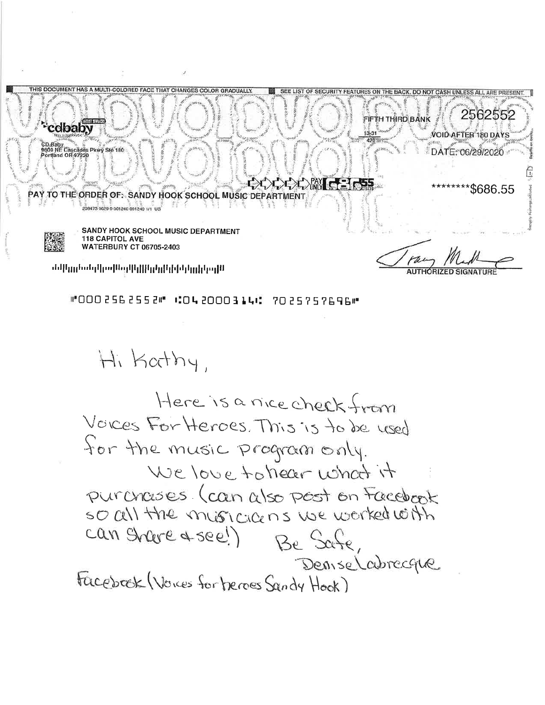IT HAS A MULTI-COLORED FACE THAT CHANGES COLOR GRADUALLY SEE LIST OF SECURITY FEATURES ON THE BACK, DO NOT CASH UNLESS ALL ARE PRESE 2562552 FIFTH THIRD BANK cdbaby VOID AFTER 180 DAYS CD Baby<br>9600 NE Cascades Pkwý Ste 180<br>Portland OR 97220 DATE: 06/29/2020 \*\*\$686.55 PAY TO THE ORDER OF: SANDY HOOK SCHOOL MUSIC DE 208473 0629 0 001240 001240 1/1 US **SANDY HOOK SCHOOL MUSIC DEPARTMENT 118 CAPITOL AVE WATERBURY CT 06705-2403** 

Ակայկյլինիկիկկվվկիկիցախնակյլին,

"0002562552" #042000314# 7025757696"

Hi Kathy,

Here is a nice check from Voices For Heroes. This is to be used for the music program only. We love to hear what it purchases (can also post on Facebook SO Cell the missicians we worked with can Share & see!) Be Safe, Deniselabrecque Facebook (Voices for heroes Sandy Hook)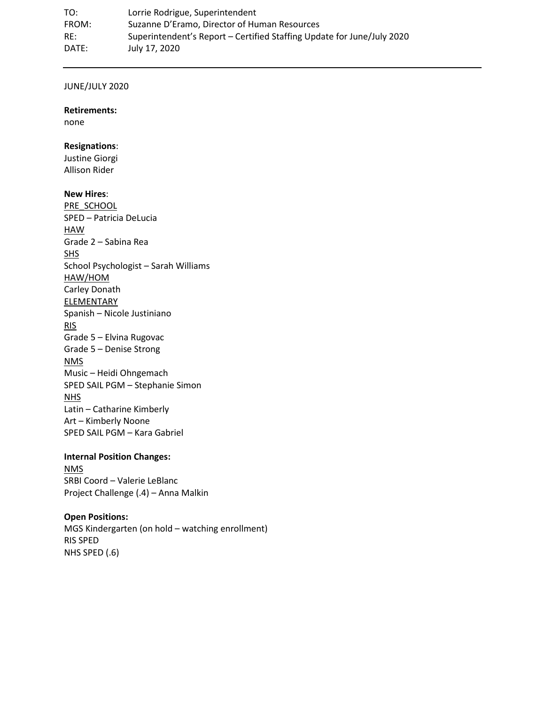TO: Lorrie Rodrigue, Superintendent FROM: Suzanne D'Eramo, Director of Human Resources RE: Superintendent's Report – Certified Staffing Update for June/July 2020 DATE: July 17, 2020

#### JUNE/JULY 2020

#### **Retirements:**

none

#### **Resignations**:

Justine Giorgi Allison Rider

#### **New Hires**:

PRE\_SCHOOL SPED – Patricia DeLucia **HAW** Grade 2 – Sabina Rea SHS School Psychologist – Sarah Williams HAW/HOM Carley Donath ELEMENTARY Spanish – Nicole Justiniano RIS Grade 5 – Elvina Rugovac Grade 5 – Denise Strong **NMS** Music – Heidi Ohngemach SPED SAIL PGM – Stephanie Simon NHS Latin – Catharine Kimberly Art – Kimberly Noone SPED SAIL PGM – Kara Gabriel

#### **Internal Position Changes:**

NMS SRBI Coord – Valerie LeBlanc Project Challenge (.4) – Anna Malkin

#### **Open Positions:**

MGS Kindergarten (on hold – watching enrollment) RIS SPED NHS SPED (.6)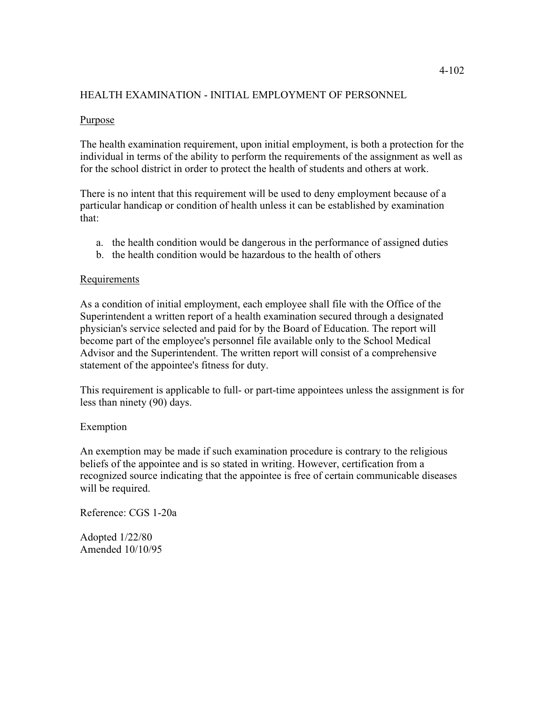#### HEALTH EXAMINATION - INITIAL EMPLOYMENT OF PERSONNEL

#### **Purpose**

The health examination requirement, upon initial employment, is both a protection for the individual in terms of the ability to perform the requirements of the assignment as well as for the school district in order to protect the health of students and others at work.

There is no intent that this requirement will be used to deny employment because of a particular handicap or condition of health unless it can be established by examination that:

- a. the health condition would be dangerous in the performance of assigned duties
- b. the health condition would be hazardous to the health of others

#### Requirements

As a condition of initial employment, each employee shall file with the Office of the Superintendent a written report of a health examination secured through a designated physician's service selected and paid for by the Board of Education. The report will become part of the employee's personnel file available only to the School Medical Advisor and the Superintendent. The written report will consist of a comprehensive statement of the appointee's fitness for duty.

This requirement is applicable to full- or part-time appointees unless the assignment is for less than ninety (90) days.

#### Exemption

An exemption may be made if such examination procedure is contrary to the religious beliefs of the appointee and is so stated in writing. However, certification from a recognized source indicating that the appointee is free of certain communicable diseases will be required.

Reference: CGS 1-20a

Adopted 1/22/80 Amended 10/10/95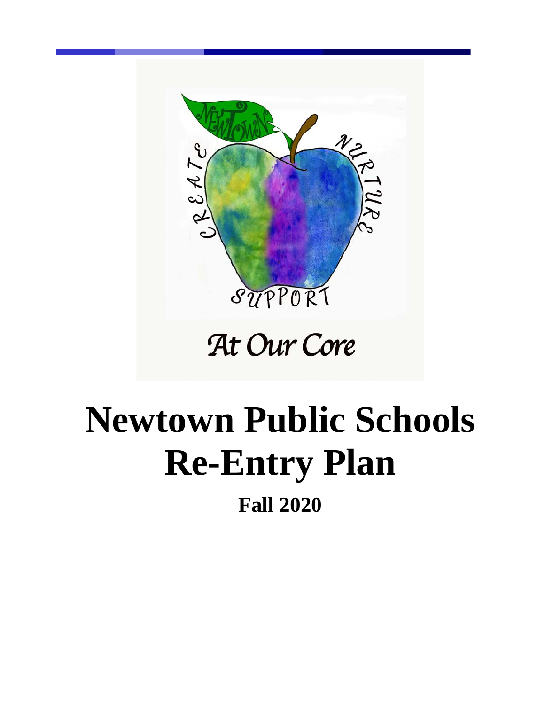

## At Our Core

# **Newtown Public Schools Re-Entry Plan Fall 2020**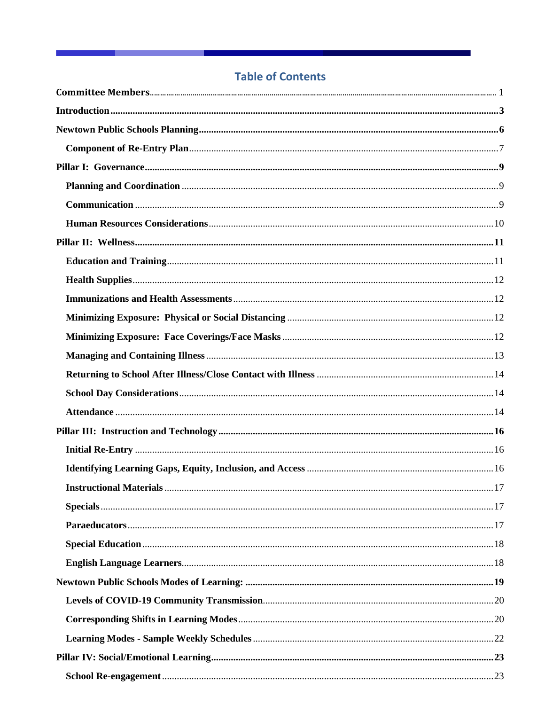## **Table of Contents**

**Service Contract Contract Contract**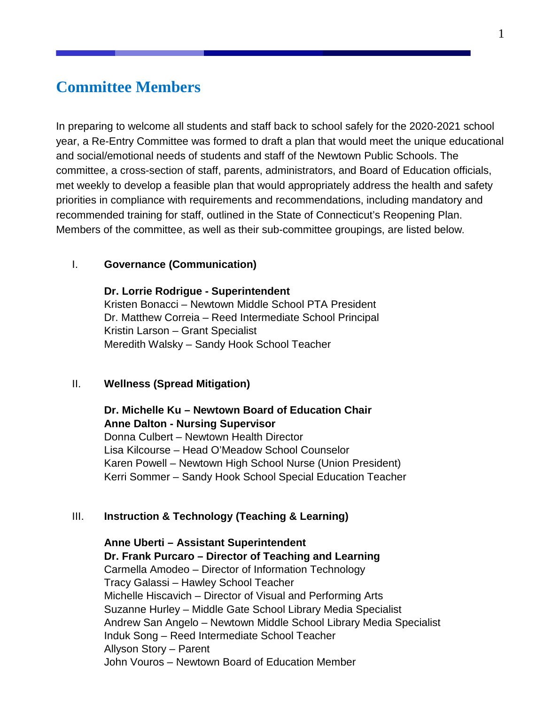## <span id="page-15-0"></span>**Committee Members**

In preparing to welcome all students and staff back to school safely for the 2020-2021 school year, a Re-Entry Committee was formed to draft a plan that would meet the unique educational and social/emotional needs of students and staff of the Newtown Public Schools. The committee, a cross-section of staff, parents, administrators, and Board of Education officials, met weekly to develop a feasible plan that would appropriately address the health and safety priorities in compliance with requirements and recommendations, including mandatory and recommended training for staff, outlined in the State of Connecticut's Reopening Plan. Members of the committee, as well as their sub-committee groupings, are listed below.

#### I. **Governance (Communication)**

**Dr. Lorrie Rodrigue - Superintendent** Kristen Bonacci – Newtown Middle School PTA President Dr. Matthew Correia – Reed Intermediate School Principal Kristin Larson – Grant Specialist Meredith Walsky – Sandy Hook School Teacher

#### II. **Wellness (Spread Mitigation)**

**Dr. Michelle Ku – Newtown Board of Education Chair Anne Dalton - Nursing Supervisor** Donna Culbert – Newtown Health Director Lisa Kilcourse – Head O'Meadow School Counselor Karen Powell – Newtown High School Nurse (Union President) Kerri Sommer – Sandy Hook School Special Education Teacher

#### III. **Instruction & Technology (Teaching & Learning)**

**Anne Uberti – Assistant Superintendent Dr. Frank Purcaro – Director of Teaching and Learning** Carmella Amodeo – Director of Information Technology Tracy Galassi – Hawley School Teacher Michelle Hiscavich – Director of Visual and Performing Arts Suzanne Hurley – Middle Gate School Library Media Specialist Andrew San Angelo – Newtown Middle School Library Media Specialist Induk Song – Reed Intermediate School Teacher Allyson Story – Parent John Vouros – Newtown Board of Education Member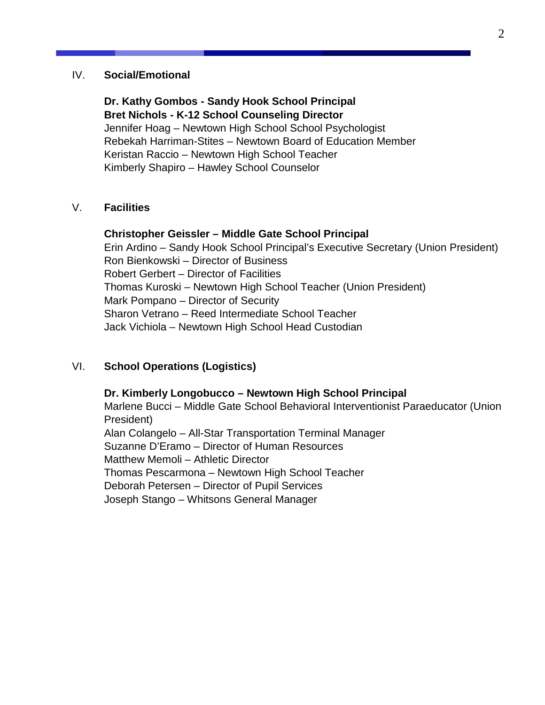#### IV. **Social/Emotional**

**Dr. Kathy Gombos - Sandy Hook School Principal Bret Nichols - K-12 School Counseling Director**  Jennifer Hoag – Newtown High School School Psychologist Rebekah Harriman-Stites – Newtown Board of Education Member Keristan Raccio – Newtown High School Teacher Kimberly Shapiro – Hawley School Counselor

#### V. **Facilities**

#### **Christopher Geissler – Middle Gate School Principal**

Erin Ardino – Sandy Hook School Principal's Executive Secretary (Union President) Ron Bienkowski – Director of Business Robert Gerbert – Director of Facilities Thomas Kuroski – Newtown High School Teacher (Union President) Mark Pompano – Director of Security Sharon Vetrano – Reed Intermediate School Teacher Jack Vichiola – Newtown High School Head Custodian

#### VI. **School Operations (Logistics)**

**Dr. Kimberly Longobucco – Newtown High School Principal** Marlene Bucci – Middle Gate School Behavioral Interventionist Paraeducator (Union President) Alan Colangelo – All-Star Transportation Terminal Manager Suzanne D'Eramo – Director of Human Resources Matthew Memoli – Athletic Director Thomas Pescarmona – Newtown High School Teacher Deborah Petersen – Director of Pupil Services Joseph Stango – Whitsons General Manager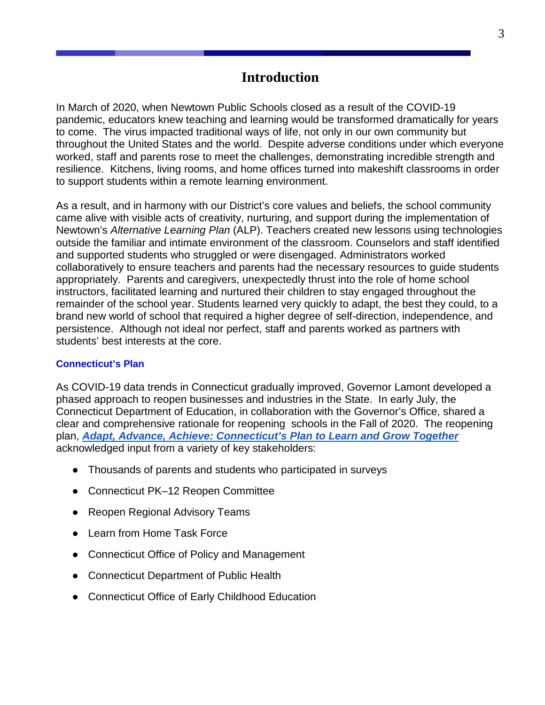## **Introduction**

<span id="page-17-0"></span>In March of 2020, when Newtown Public Schools closed as a result of the COVID-19 pandemic, educators knew teaching and learning would be transformed dramatically for years to come. The virus impacted traditional ways of life, not only in our own community but throughout the United States and the world. Despite adverse conditions under which everyone worked, staff and parents rose to meet the challenges, demonstrating incredible strength and resilience. Kitchens, living rooms, and home offices turned into makeshift classrooms in order to support students within a remote learning environment.

As a result, and in harmony with our District's core values and beliefs, the school community came alive with visible acts of creativity, nurturing, and support during the implementation of Newtown's *Alternative Learning Plan* (ALP). Teachers created new lessons using technologies outside the familiar and intimate environment of the classroom. Counselors and staff identified and supported students who struggled or were disengaged. Administrators worked collaboratively to ensure teachers and parents had the necessary resources to guide students appropriately. Parents and caregivers, unexpectedly thrust into the role of home school instructors, facilitated learning and nurtured their children to stay engaged throughout the remainder of the school year. Students learned very quickly to adapt, the best they could, to a brand new world of school that required a higher degree of self-direction, independence, and persistence. Although not ideal nor perfect, staff and parents worked as partners with students' best interests at the core.

#### **Connecticut's Plan**

As COVID-19 data trends in Connecticut gradually improved, Governor Lamont developed a phased approach to reopen businesses and industries in the State. In early July, the Connecticut Department of Education, in collaboration with the Governor's Office, shared a clear and comprehensive rationale for reopening schools in the Fall of 2020. The reopening plan, *[Adapt, Advance, Achieve: Connecticut's Plan to Learn and Grow Together](https://portal.ct.gov/-/media/SDE/COVID-19/CTReopeningSchools.pdf)* acknowledged input from a variety of key stakeholders:

- Thousands of parents and students who participated in surveys
- Connecticut PK–12 Reopen Committee
- Reopen Regional Advisory Teams
- Learn from Home Task Force
- Connecticut Office of Policy and Management
- Connecticut Department of Public Health
- Connecticut Office of Early Childhood Education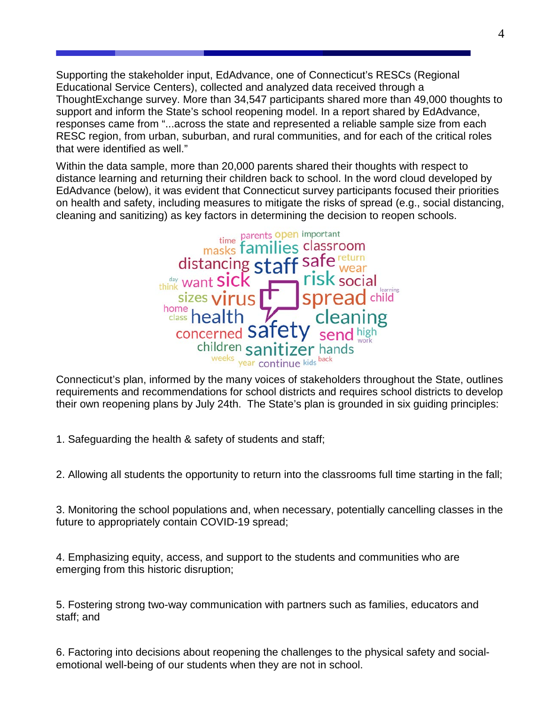Supporting the stakeholder input, EdAdvance, one of Connecticut's RESCs (Regional Educational Service Centers), collected and analyzed data received through a ThoughtExchange survey. More than 34,547 participants shared more than 49,000 thoughts to support and inform the State's school reopening model. In a report shared by EdAdvance, responses came from "...across the state and represented a reliable sample size from each RESC region, from urban, suburban, and rural communities, and for each of the critical roles that were identified as well."

Within the data sample, more than 20,000 parents shared their thoughts with respect to distance learning and returning their children back to school. In the word cloud developed by EdAdvance (below), it was evident that Connecticut survey participants focused their priorities on health and safety, including measures to mitigate the risks of spread (e.g., social distancing, cleaning and sanitizing) as key factors in determining the decision to reopen schools.



Connecticut's plan, informed by the many voices of stakeholders throughout the State, outlines requirements and recommendations for school districts and requires school districts to develop their own reopening plans by July 24th. The State's plan is grounded in six guiding principles:

1. Safeguarding the health & safety of students and staff;

2. Allowing all students the opportunity to return into the classrooms full time starting in the fall;

3. Monitoring the school populations and, when necessary, potentially cancelling classes in the future to appropriately contain COVID-19 spread;

4. Emphasizing equity, access, and support to the students and communities who are emerging from this historic disruption;

5. Fostering strong two-way communication with partners such as families, educators and staff; and

6. Factoring into decisions about reopening the challenges to the physical safety and socialemotional well-being of our students when they are not in school.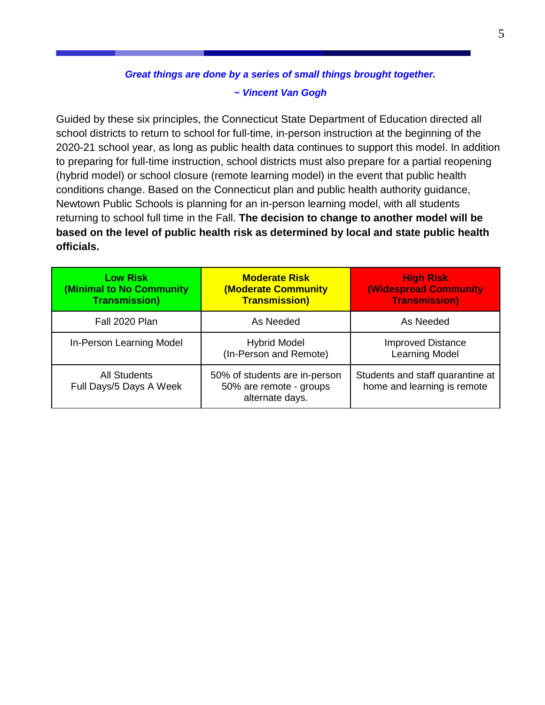## *Great things are done by a series of small things brought together. ~ Vincent Van Gogh*

Guided by these six principles, the Connecticut State Department of Education directed all school districts to return to school for full-time, in-person instruction at the beginning of the 2020-21 school year, as long as public health data continues to support this model. In addition to preparing for full-time instruction, school districts must also prepare for a partial reopening (hybrid model) or school closure (remote learning model) in the event that public health conditions change. Based on the Connecticut plan and public health authority guidance, Newtown Public Schools is planning for an in-person learning model, with all students returning to school full time in the Fall. **The decision to change to another model will be based on the level of public health risk as determined by local and state public health officials.**

| <b>Low Risk</b><br>(Minimal to No Community<br><b>Transmission)</b> | <b>Moderate Risk</b><br><b>(Moderate Community</b><br><b>Transmission)</b>  | <b>High Risk</b><br><b>(Widespread Community)</b><br><b>Transmission</b> ) |
|---------------------------------------------------------------------|-----------------------------------------------------------------------------|----------------------------------------------------------------------------|
| Fall 2020 Plan                                                      | As Needed                                                                   | As Needed                                                                  |
| In-Person Learning Model                                            | <b>Hybrid Model</b><br>(In-Person and Remote)                               | <b>Improved Distance</b><br><b>Learning Model</b>                          |
| <b>All Students</b><br>Full Days/5 Days A Week                      | 50% of students are in-person<br>50% are remote - groups<br>alternate days. | Students and staff quarantine at<br>home and learning is remote            |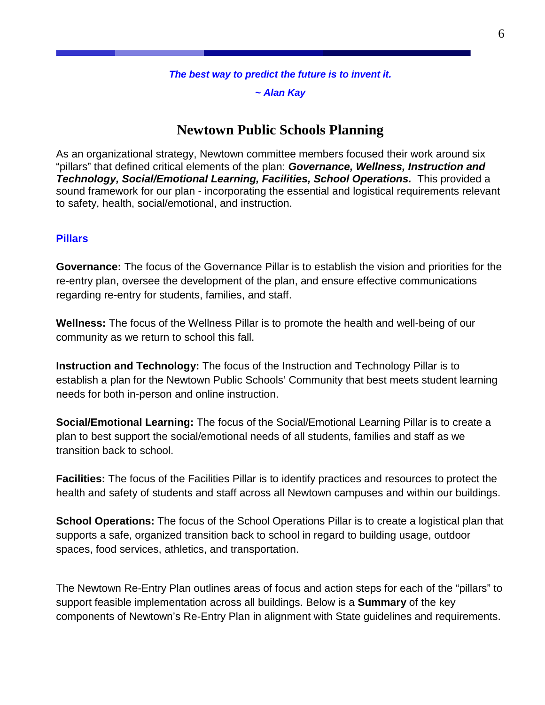#### *The best way to predict the future is to invent it.*

*~ Alan Kay*

## **Newtown Public Schools Planning**

<span id="page-20-0"></span>As an organizational strategy, Newtown committee members focused their work around six "pillars" that defined critical elements of the plan: *Governance, Wellness, Instruction and Technology, Social/Emotional Learning, Facilities, School Operations.* This provided a sound framework for our plan - incorporating the essential and logistical requirements relevant to safety, health, social/emotional, and instruction.

### **Pillars**

**Governance:** The focus of the Governance Pillar is to establish the vision and priorities for the re-entry plan, oversee the development of the plan, and ensure effective communications regarding re-entry for students, families, and staff.

**Wellness:** The focus of the Wellness Pillar is to promote the health and well-being of our community as we return to school this fall.

**Instruction and Technology:** The focus of the Instruction and Technology Pillar is to establish a plan for the Newtown Public Schools' Community that best meets student learning needs for both in-person and online instruction.

**Social/Emotional Learning:** The focus of the Social/Emotional Learning Pillar is to create a plan to best support the social/emotional needs of all students, families and staff as we transition back to school.

**Facilities:** The focus of the Facilities Pillar is to identify practices and resources to protect the health and safety of students and staff across all Newtown campuses and within our buildings.

**School Operations:** The focus of the School Operations Pillar is to create a logistical plan that supports a safe, organized transition back to school in regard to building usage, outdoor spaces, food services, athletics, and transportation.

The Newtown Re-Entry Plan outlines areas of focus and action steps for each of the "pillars" to support feasible implementation across all buildings. Below is a **Summary** of the key components of Newtown's Re-Entry Plan in alignment with State guidelines and requirements.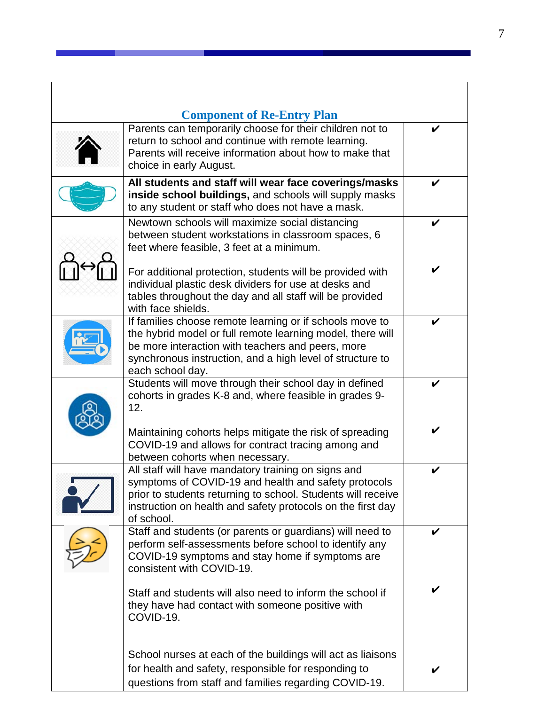<span id="page-21-0"></span>

| <b>Component of Re-Entry Plan</b><br>Parents can temporarily choose for their children not to<br>return to school and continue with remote learning.<br>Parents will receive information about how to make that<br>choice in early August.                   | V |
|--------------------------------------------------------------------------------------------------------------------------------------------------------------------------------------------------------------------------------------------------------------|---|
| All students and staff will wear face coverings/masks<br>inside school buildings, and schools will supply masks<br>to any student or staff who does not have a mask.                                                                                         |   |
| Newtown schools will maximize social distancing<br>between student workstations in classroom spaces, 6<br>feet where feasible, 3 feet at a minimum.                                                                                                          |   |
| For additional protection, students will be provided with<br>individual plastic desk dividers for use at desks and<br>tables throughout the day and all staff will be provided<br>with face shields.                                                         |   |
| If families choose remote learning or if schools move to<br>the hybrid model or full remote learning model, there will<br>be more interaction with teachers and peers, more<br>synchronous instruction, and a high level of structure to<br>each school day. |   |
| Students will move through their school day in defined<br>cohorts in grades K-8 and, where feasible in grades 9-<br>12.                                                                                                                                      |   |
| Maintaining cohorts helps mitigate the risk of spreading<br>COVID-19 and allows for contract tracing among and<br>between cohorts when necessary.                                                                                                            |   |
| All staff will have mandatory training on signs and<br>symptoms of COVID-19 and health and safety protocols<br>prior to students returning to school. Students will receive<br>instruction on health and safety protocols on the first day<br>of school.     | V |
| Staff and students (or parents or guardians) will need to<br>perform self-assessments before school to identify any<br>COVID-19 symptoms and stay home if symptoms are<br>consistent with COVID-19.                                                          | V |
| Staff and students will also need to inform the school if<br>they have had contact with someone positive with<br>COVID-19.                                                                                                                                   | V |
| School nurses at each of the buildings will act as liaisons<br>for health and safety, responsible for responding to<br>questions from staff and families regarding COVID-19.                                                                                 |   |

and the state of the state of the state of the state of the

 $\overline{\phantom{a}}$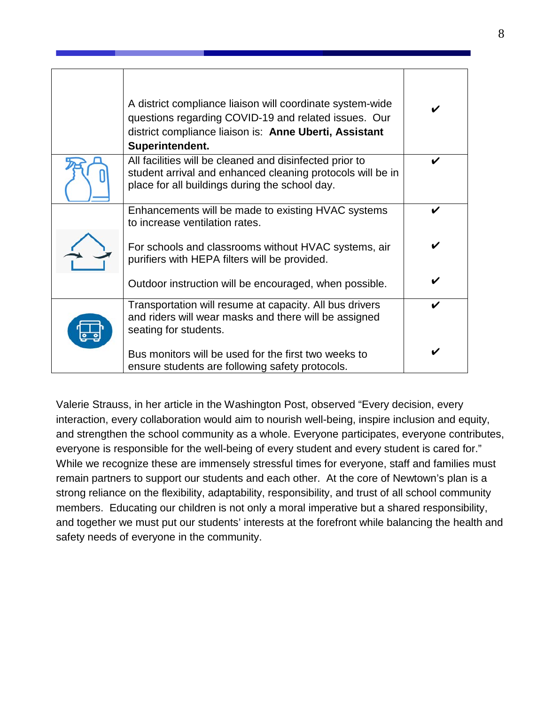| A district compliance liaison will coordinate system-wide<br>questions regarding COVID-19 and related issues. Our<br>district compliance liaison is: Anne Uberti, Assistant<br>Superintendent. |   |
|------------------------------------------------------------------------------------------------------------------------------------------------------------------------------------------------|---|
| All facilities will be cleaned and disinfected prior to<br>student arrival and enhanced cleaning protocols will be in<br>place for all buildings during the school day.                        | ✔ |
| Enhancements will be made to existing HVAC systems<br>to increase ventilation rates.                                                                                                           |   |
| For schools and classrooms without HVAC systems, air<br>purifiers with HEPA filters will be provided.                                                                                          |   |
| Outdoor instruction will be encouraged, when possible.                                                                                                                                         |   |
| Transportation will resume at capacity. All bus drivers<br>and riders will wear masks and there will be assigned<br>seating for students.                                                      |   |
| Bus monitors will be used for the first two weeks to<br>ensure students are following safety protocols.                                                                                        |   |

Valerie Strauss, in her article in the Washington Post, observed "Every decision, every interaction, every collaboration would aim to nourish well-being, inspire inclusion and equity, and strengthen the school community as a whole. Everyone participates, everyone contributes, everyone is responsible for the well-being of every student and every student is cared for." While we recognize these are immensely stressful times for everyone, staff and families must remain partners to support our students and each other. At the core of Newtown's plan is a strong reliance on the flexibility, adaptability, responsibility, and trust of all school community members. Educating our children is not only a moral imperative but a shared responsibility, and together we must put our students' interests at the forefront while balancing the health and safety needs of everyone in the community.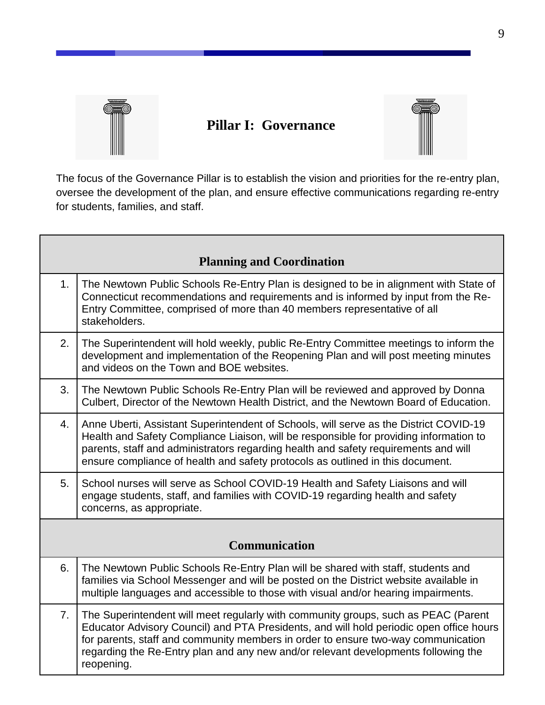

Г

## <span id="page-23-0"></span>**Pillar I: Governance**



The focus of the Governance Pillar is to establish the vision and priorities for the re-entry plan, oversee the development of the plan, and ensure effective communications regarding re-entry for students, families, and staff.

<span id="page-23-2"></span><span id="page-23-1"></span>

|                | <b>Planning and Coordination</b>                                                                                                                                                                                                                                                                                                                                       |
|----------------|------------------------------------------------------------------------------------------------------------------------------------------------------------------------------------------------------------------------------------------------------------------------------------------------------------------------------------------------------------------------|
| 1.             | The Newtown Public Schools Re-Entry Plan is designed to be in alignment with State of<br>Connecticut recommendations and requirements and is informed by input from the Re-<br>Entry Committee, comprised of more than 40 members representative of all<br>stakeholders.                                                                                               |
| 2.             | The Superintendent will hold weekly, public Re-Entry Committee meetings to inform the<br>development and implementation of the Reopening Plan and will post meeting minutes<br>and videos on the Town and BOE websites.                                                                                                                                                |
| 3.             | The Newtown Public Schools Re-Entry Plan will be reviewed and approved by Donna<br>Culbert, Director of the Newtown Health District, and the Newtown Board of Education.                                                                                                                                                                                               |
| 4.             | Anne Uberti, Assistant Superintendent of Schools, will serve as the District COVID-19<br>Health and Safety Compliance Liaison, will be responsible for providing information to<br>parents, staff and administrators regarding health and safety requirements and will<br>ensure compliance of health and safety protocols as outlined in this document.               |
| 5.             | School nurses will serve as School COVID-19 Health and Safety Liaisons and will<br>engage students, staff, and families with COVID-19 regarding health and safety<br>concerns, as appropriate.                                                                                                                                                                         |
|                | <b>Communication</b>                                                                                                                                                                                                                                                                                                                                                   |
| 6.             | The Newtown Public Schools Re-Entry Plan will be shared with staff, students and                                                                                                                                                                                                                                                                                       |
|                | families via School Messenger and will be posted on the District website available in<br>multiple languages and accessible to those with visual and/or hearing impairments.                                                                                                                                                                                            |
| 7 <sub>1</sub> | The Superintendent will meet regularly with community groups, such as PEAC (Parent<br>Educator Advisory Council) and PTA Presidents, and will hold periodic open office hours<br>for parents, staff and community members in order to ensure two-way communication<br>regarding the Re-Entry plan and any new and/or relevant developments following the<br>reopening. |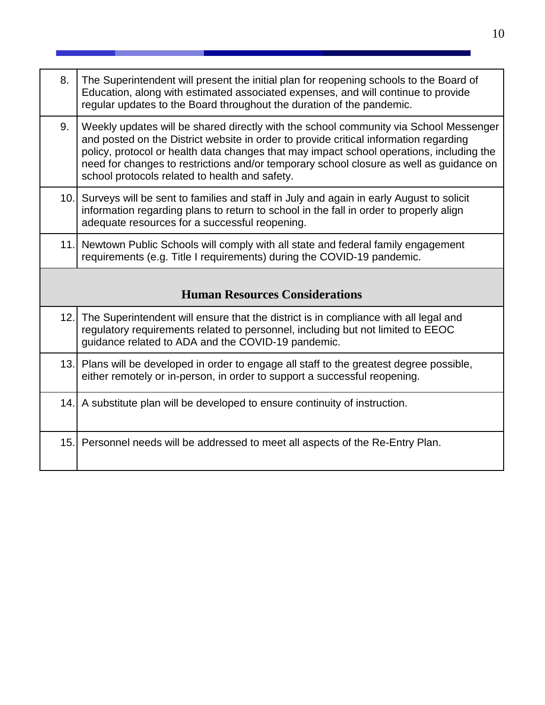<span id="page-24-0"></span>

| 8.   | The Superintendent will present the initial plan for reopening schools to the Board of<br>Education, along with estimated associated expenses, and will continue to provide<br>regular updates to the Board throughout the duration of the pandemic.                                                                                                                                                                    |
|------|-------------------------------------------------------------------------------------------------------------------------------------------------------------------------------------------------------------------------------------------------------------------------------------------------------------------------------------------------------------------------------------------------------------------------|
| 9.   | Weekly updates will be shared directly with the school community via School Messenger<br>and posted on the District website in order to provide critical information regarding<br>policy, protocol or health data changes that may impact school operations, including the<br>need for changes to restrictions and/or temporary school closure as well as guidance on<br>school protocols related to health and safety. |
|      | 10. Surveys will be sent to families and staff in July and again in early August to solicit<br>information regarding plans to return to school in the fall in order to properly align<br>adequate resources for a successful reopening.                                                                                                                                                                                 |
|      | 11. Newtown Public Schools will comply with all state and federal family engagement<br>requirements (e.g. Title I requirements) during the COVID-19 pandemic.                                                                                                                                                                                                                                                           |
|      | <b>Human Resources Considerations</b>                                                                                                                                                                                                                                                                                                                                                                                   |
| 12.1 | The Superintendent will ensure that the district is in compliance with all legal and<br>regulatory requirements related to personnel, including but not limited to EEOC<br>guidance related to ADA and the COVID-19 pandemic.                                                                                                                                                                                           |
|      | 13. Plans will be developed in order to engage all staff to the greatest degree possible,<br>either remotely or in-person, in order to support a successful reopening.                                                                                                                                                                                                                                                  |
|      | 14. A substitute plan will be developed to ensure continuity of instruction.                                                                                                                                                                                                                                                                                                                                            |
|      |                                                                                                                                                                                                                                                                                                                                                                                                                         |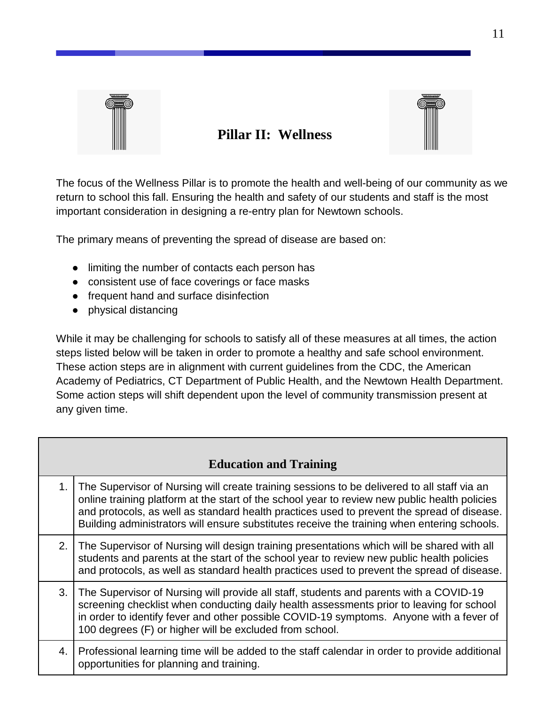

## <span id="page-25-0"></span>**Pillar II: Wellness**



The focus of the Wellness Pillar is to promote the health and well-being of our community as we return to school this fall. Ensuring the health and safety of our students and staff is the most important consideration in designing a re-entry plan for Newtown schools.

The primary means of preventing the spread of disease are based on:

- limiting the number of contacts each person has
- consistent use of face coverings or face masks
- frequent hand and surface disinfection
- physical distancing

While it may be challenging for schools to satisfy all of these measures at all times, the action steps listed below will be taken in order to promote a healthy and safe school environment. These action steps are in alignment with current guidelines from the CDC, the American Academy of Pediatrics, CT Department of Public Health, and the Newtown Health Department. Some action steps will shift dependent upon the level of community transmission present at any given time.

<span id="page-25-1"></span>

|    | <b>Education and Training</b>                                                                                                                                                                                                                                                                                                                                                             |
|----|-------------------------------------------------------------------------------------------------------------------------------------------------------------------------------------------------------------------------------------------------------------------------------------------------------------------------------------------------------------------------------------------|
| 1. | The Supervisor of Nursing will create training sessions to be delivered to all staff via an<br>online training platform at the start of the school year to review new public health policies<br>and protocols, as well as standard health practices used to prevent the spread of disease.<br>Building administrators will ensure substitutes receive the training when entering schools. |
| 2. | The Supervisor of Nursing will design training presentations which will be shared with all<br>students and parents at the start of the school year to review new public health policies<br>and protocols, as well as standard health practices used to prevent the spread of disease.                                                                                                     |
| 3. | The Supervisor of Nursing will provide all staff, students and parents with a COVID-19<br>screening checklist when conducting daily health assessments prior to leaving for school<br>in order to identify fever and other possible COVID-19 symptoms. Anyone with a fever of<br>100 degrees (F) or higher will be excluded from school.                                                  |
| 4. | Professional learning time will be added to the staff calendar in order to provide additional<br>opportunities for planning and training.                                                                                                                                                                                                                                                 |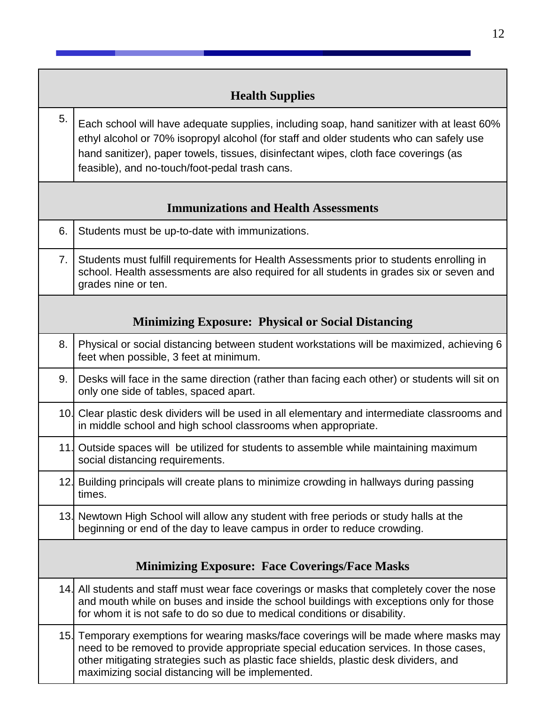<span id="page-26-3"></span><span id="page-26-2"></span><span id="page-26-1"></span><span id="page-26-0"></span>

|     | <b>Health Supplies</b>                                                                                                                                                                                                                                                                                                         |
|-----|--------------------------------------------------------------------------------------------------------------------------------------------------------------------------------------------------------------------------------------------------------------------------------------------------------------------------------|
| 5.  | Each school will have adequate supplies, including soap, hand sanitizer with at least 60%<br>ethyl alcohol or 70% isopropyl alcohol (for staff and older students who can safely use<br>hand sanitizer), paper towels, tissues, disinfectant wipes, cloth face coverings (as<br>feasible), and no-touch/foot-pedal trash cans. |
|     | <b>Immunizations and Health Assessments</b>                                                                                                                                                                                                                                                                                    |
| 6.  | Students must be up-to-date with immunizations.                                                                                                                                                                                                                                                                                |
| 7.  | Students must fulfill requirements for Health Assessments prior to students enrolling in<br>school. Health assessments are also required for all students in grades six or seven and<br>grades nine or ten.                                                                                                                    |
|     | <b>Minimizing Exposure: Physical or Social Distancing</b>                                                                                                                                                                                                                                                                      |
| 8.  | Physical or social distancing between student workstations will be maximized, achieving 6<br>feet when possible, 3 feet at minimum.                                                                                                                                                                                            |
| 9.  | Desks will face in the same direction (rather than facing each other) or students will sit on<br>only one side of tables, spaced apart.                                                                                                                                                                                        |
|     | 10. Clear plastic desk dividers will be used in all elementary and intermediate classrooms and<br>in middle school and high school classrooms when appropriate.                                                                                                                                                                |
| 11. | Outside spaces will be utilized for students to assemble while maintaining maximum<br>social distancing requirements.                                                                                                                                                                                                          |
|     | 12. Building principals will create plans to minimize crowding in hallways during passing<br>times.                                                                                                                                                                                                                            |
|     | 13. Newtown High School will allow any student with free periods or study halls at the<br>beginning or end of the day to leave campus in order to reduce crowding.                                                                                                                                                             |
|     | <b>Minimizing Exposure: Face Coverings/Face Masks</b>                                                                                                                                                                                                                                                                          |
|     | 14. All students and staff must wear face coverings or masks that completely cover the nose<br>and mouth while on buses and inside the school buildings with exceptions only for those<br>for whom it is not safe to do so due to medical conditions or disability.                                                            |
|     | 15. Temporary exemptions for wearing masks/face coverings will be made where masks may<br>need to be removed to provide appropriate special education services. In those cases,<br>other mitigating strategies such as plastic face shields, plastic desk dividers, and<br>maximizing social distancing will be implemented.   |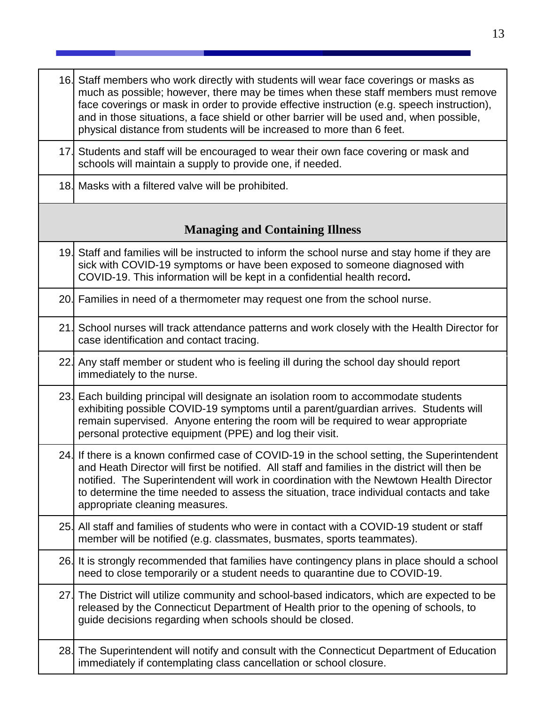<span id="page-27-0"></span>

|     | 16. Staff members who work directly with students will wear face coverings or masks as<br>much as possible; however, there may be times when these staff members must remove<br>face coverings or mask in order to provide effective instruction (e.g. speech instruction),<br>and in those situations, a face shield or other barrier will be used and, when possible,<br>physical distance from students will be increased to more than 6 feet. |
|-----|---------------------------------------------------------------------------------------------------------------------------------------------------------------------------------------------------------------------------------------------------------------------------------------------------------------------------------------------------------------------------------------------------------------------------------------------------|
|     | 17. Students and staff will be encouraged to wear their own face covering or mask and<br>schools will maintain a supply to provide one, if needed.                                                                                                                                                                                                                                                                                                |
|     | 18. Masks with a filtered valve will be prohibited.                                                                                                                                                                                                                                                                                                                                                                                               |
|     | <b>Managing and Containing Illness</b>                                                                                                                                                                                                                                                                                                                                                                                                            |
|     | 19. Staff and families will be instructed to inform the school nurse and stay home if they are<br>sick with COVID-19 symptoms or have been exposed to someone diagnosed with<br>COVID-19. This information will be kept in a confidential health record.                                                                                                                                                                                          |
|     | 20. Families in need of a thermometer may request one from the school nurse.                                                                                                                                                                                                                                                                                                                                                                      |
|     | 21. School nurses will track attendance patterns and work closely with the Health Director for<br>case identification and contact tracing.                                                                                                                                                                                                                                                                                                        |
|     | 22. Any staff member or student who is feeling ill during the school day should report<br>immediately to the nurse.                                                                                                                                                                                                                                                                                                                               |
|     | 23. Each building principal will designate an isolation room to accommodate students<br>exhibiting possible COVID-19 symptoms until a parent/guardian arrives. Students will<br>remain supervised. Anyone entering the room will be required to wear appropriate<br>personal protective equipment (PPE) and log their visit.                                                                                                                      |
|     | 24. If there is a known confirmed case of COVID-19 in the school setting, the Superintendent<br>and Heath Director will first be notified. All staff and families in the district will then be<br>notified. The Superintendent will work in coordination with the Newtown Health Director<br>to determine the time needed to assess the situation, trace individual contacts and take<br>appropriate cleaning measures.                           |
|     | 25. All staff and families of students who were in contact with a COVID-19 student or staff<br>member will be notified (e.g. classmates, busmates, sports teammates).                                                                                                                                                                                                                                                                             |
|     | 26. It is strongly recommended that families have contingency plans in place should a school<br>need to close temporarily or a student needs to quarantine due to COVID-19.                                                                                                                                                                                                                                                                       |
| 27. | The District will utilize community and school-based indicators, which are expected to be<br>released by the Connecticut Department of Health prior to the opening of schools, to<br>guide decisions regarding when schools should be closed.                                                                                                                                                                                                     |
|     | 28. The Superintendent will notify and consult with the Connecticut Department of Education<br>immediately if contemplating class cancellation or school closure.                                                                                                                                                                                                                                                                                 |

- 1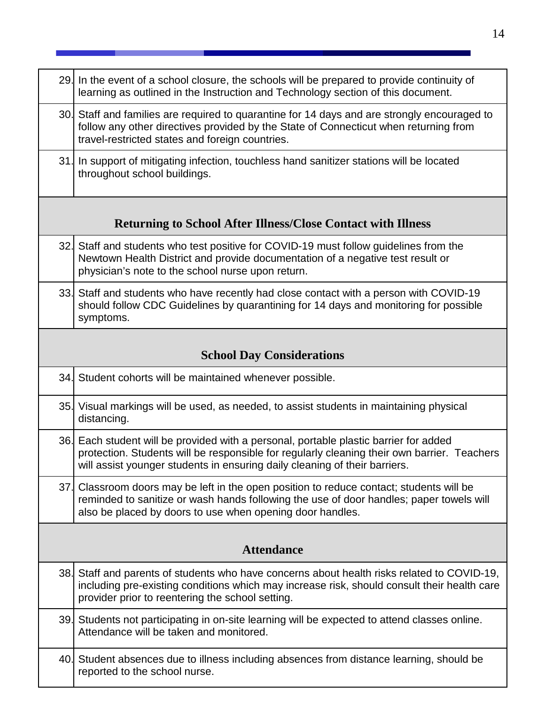<span id="page-28-2"></span><span id="page-28-1"></span><span id="page-28-0"></span>

|     | 29. In the event of a school closure, the schools will be prepared to provide continuity of<br>learning as outlined in the Instruction and Technology section of this document.                                                                                    |
|-----|--------------------------------------------------------------------------------------------------------------------------------------------------------------------------------------------------------------------------------------------------------------------|
|     | 30. Staff and families are required to quarantine for 14 days and are strongly encouraged to<br>follow any other directives provided by the State of Connecticut when returning from<br>travel-restricted states and foreign countries.                            |
| 31. | In support of mitigating infection, touchless hand sanitizer stations will be located<br>throughout school buildings.                                                                                                                                              |
|     | <b>Returning to School After Illness/Close Contact with Illness</b>                                                                                                                                                                                                |
|     | 32. Staff and students who test positive for COVID-19 must follow guidelines from the<br>Newtown Health District and provide documentation of a negative test result or<br>physician's note to the school nurse upon return.                                       |
|     | 33. Staff and students who have recently had close contact with a person with COVID-19<br>should follow CDC Guidelines by quarantining for 14 days and monitoring for possible<br>symptoms.                                                                        |
|     | <b>School Day Considerations</b>                                                                                                                                                                                                                                   |
|     | 34. Student cohorts will be maintained whenever possible.                                                                                                                                                                                                          |
|     | 35. Visual markings will be used, as needed, to assist students in maintaining physical<br>distancing.                                                                                                                                                             |
|     | 36. Each student will be provided with a personal, portable plastic barrier for added<br>protection. Students will be responsible for regularly cleaning their own barrier. Teachers<br>will assist younger students in ensuring daily cleaning of their barriers. |
|     | 37. Classroom doors may be left in the open position to reduce contact; students will be<br>reminded to sanitize or wash hands following the use of door handles; paper towels will<br>also be placed by doors to use when opening door handles.                   |
|     | <b>Attendance</b>                                                                                                                                                                                                                                                  |
|     |                                                                                                                                                                                                                                                                    |
|     | 38. Staff and parents of students who have concerns about health risks related to COVID-19,<br>including pre-existing conditions which may increase risk, should consult their health care<br>provider prior to reentering the school setting.                     |
|     | 39. Students not participating in on-site learning will be expected to attend classes online.<br>Attendance will be taken and monitored.                                                                                                                           |
|     | 40. Student absences due to illness including absences from distance learning, should be<br>reported to the school nurse.                                                                                                                                          |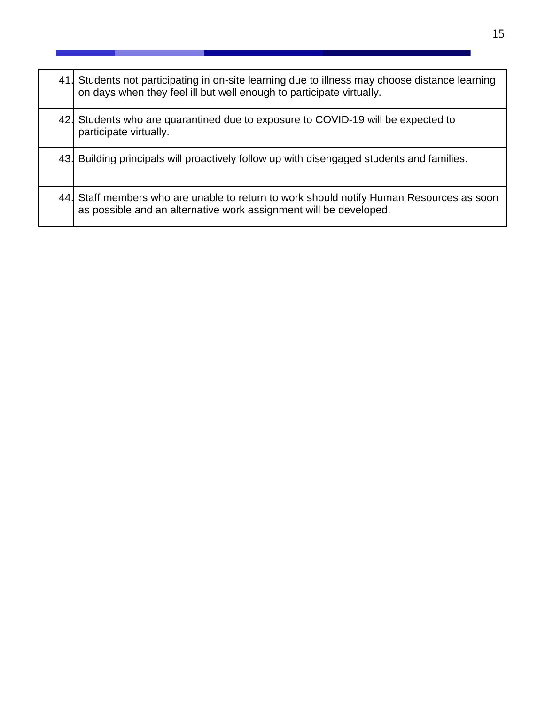| 41. Students not participating in on-site learning due to illness may choose distance learning<br>on days when they feel ill but well enough to participate virtually. |
|------------------------------------------------------------------------------------------------------------------------------------------------------------------------|
| 42. Students who are quarantined due to exposure to COVID-19 will be expected to<br>participate virtually.                                                             |
| 43. Building principals will proactively follow up with disengaged students and families.                                                                              |
| 44. Staff members who are unable to return to work should notify Human Resources as soon<br>as possible and an alternative work assignment will be developed.          |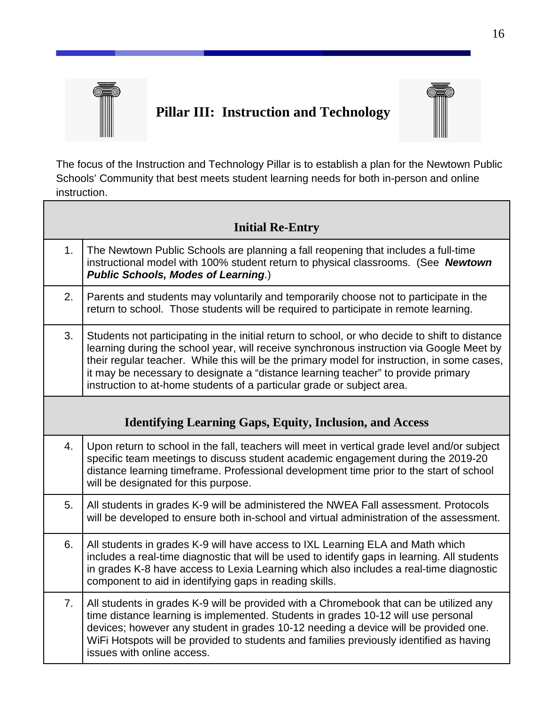

Г

## <span id="page-30-0"></span>**Pillar III: Instruction and Technology**



The focus of the Instruction and Technology Pillar is to establish a plan for the Newtown Public Schools' Community that best meets student learning needs for both in-person and online instruction.

<span id="page-30-2"></span><span id="page-30-1"></span>

|                | <b>Initial Re-Entry</b>                                                                                                                                                                                                                                                                                                                                                                                                                                  |
|----------------|----------------------------------------------------------------------------------------------------------------------------------------------------------------------------------------------------------------------------------------------------------------------------------------------------------------------------------------------------------------------------------------------------------------------------------------------------------|
| 1.             | The Newtown Public Schools are planning a fall reopening that includes a full-time<br>instructional model with 100% student return to physical classrooms. (See Newtown<br><b>Public Schools, Modes of Learning.)</b>                                                                                                                                                                                                                                    |
| 2.             | Parents and students may voluntarily and temporarily choose not to participate in the<br>return to school. Those students will be required to participate in remote learning.                                                                                                                                                                                                                                                                            |
| 3.             | Students not participating in the initial return to school, or who decide to shift to distance<br>learning during the school year, will receive synchronous instruction via Google Meet by<br>their regular teacher. While this will be the primary model for instruction, in some cases,<br>it may be necessary to designate a "distance learning teacher" to provide primary<br>instruction to at-home students of a particular grade or subject area. |
|                | <b>Identifying Learning Gaps, Equity, Inclusion, and Access</b>                                                                                                                                                                                                                                                                                                                                                                                          |
| 4.             | Upon return to school in the fall, teachers will meet in vertical grade level and/or subject<br>specific team meetings to discuss student academic engagement during the 2019-20<br>distance learning timeframe. Professional development time prior to the start of school<br>will be designated for this purpose.                                                                                                                                      |
| 5.             | All students in grades K-9 will be administered the NWEA Fall assessment. Protocols<br>will be developed to ensure both in-school and virtual administration of the assessment.                                                                                                                                                                                                                                                                          |
| 6.             | All students in grades K-9 will have access to IXL Learning ELA and Math which<br>includes a real-time diagnostic that will be used to identify gaps in learning. All students<br>in grades K-8 have access to Lexia Learning which also includes a real-time diagnostic<br>component to aid in identifying gaps in reading skills.                                                                                                                      |
| 7 <sub>1</sub> | All students in grades K-9 will be provided with a Chromebook that can be utilized any<br>time distance learning is implemented. Students in grades 10-12 will use personal<br>devices; however any student in grades 10-12 needing a device will be provided one.<br>WiFi Hotspots will be provided to students and families previously identified as having<br>issues with online access.                                                              |

٦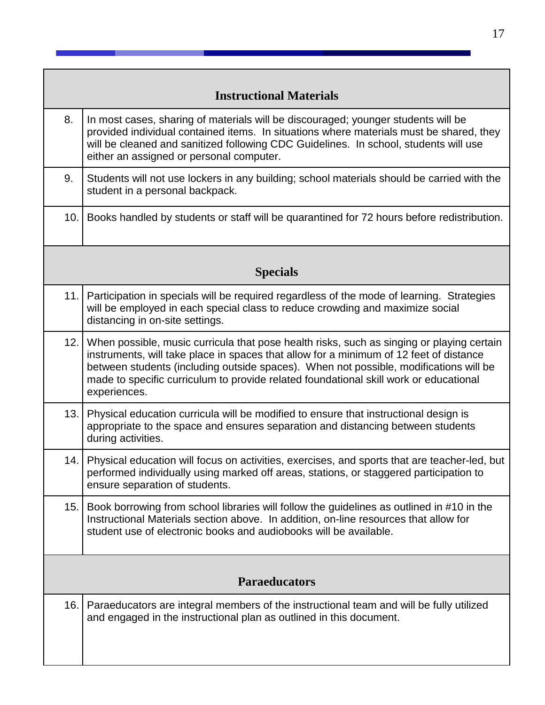|     | <b>Instructional Materials</b>                                                                                                                                                                                                                                                                                                                                                        |
|-----|---------------------------------------------------------------------------------------------------------------------------------------------------------------------------------------------------------------------------------------------------------------------------------------------------------------------------------------------------------------------------------------|
| 8.  | In most cases, sharing of materials will be discouraged; younger students will be<br>provided individual contained items. In situations where materials must be shared, they<br>will be cleaned and sanitized following CDC Guidelines. In school, students will use<br>either an assigned or personal computer.                                                                      |
| 9.  | Students will not use lockers in any building; school materials should be carried with the<br>student in a personal backpack.                                                                                                                                                                                                                                                         |
| 10. | Books handled by students or staff will be quarantined for 72 hours before redistribution.                                                                                                                                                                                                                                                                                            |
|     | <b>Specials</b>                                                                                                                                                                                                                                                                                                                                                                       |
| 11. | Participation in specials will be required regardless of the mode of learning. Strategies<br>will be employed in each special class to reduce crowding and maximize social<br>distancing in on-site settings.                                                                                                                                                                         |
| 12. | When possible, music curricula that pose health risks, such as singing or playing certain<br>instruments, will take place in spaces that allow for a minimum of 12 feet of distance<br>between students (including outside spaces). When not possible, modifications will be<br>made to specific curriculum to provide related foundational skill work or educational<br>experiences. |
| 13. | Physical education curricula will be modified to ensure that instructional design is<br>appropriate to the space and ensures separation and distancing between students<br>during activities.                                                                                                                                                                                         |
| 14. | Physical education will focus on activities, exercises, and sports that are teacher-led, but<br>performed individually using marked off areas, stations, or staggered participation to<br>ensure separation of students.                                                                                                                                                              |
| 15. | Book borrowing from school libraries will follow the guidelines as outlined in #10 in the<br>Instructional Materials section above. In addition, on-line resources that allow for<br>student use of electronic books and audiobooks will be available.                                                                                                                                |
|     | <b>Paraeducators</b>                                                                                                                                                                                                                                                                                                                                                                  |
| 16. | Paraeducators are integral members of the instructional team and will be fully utilized<br>and engaged in the instructional plan as outlined in this document.                                                                                                                                                                                                                        |

<span id="page-31-2"></span><span id="page-31-1"></span><span id="page-31-0"></span>Г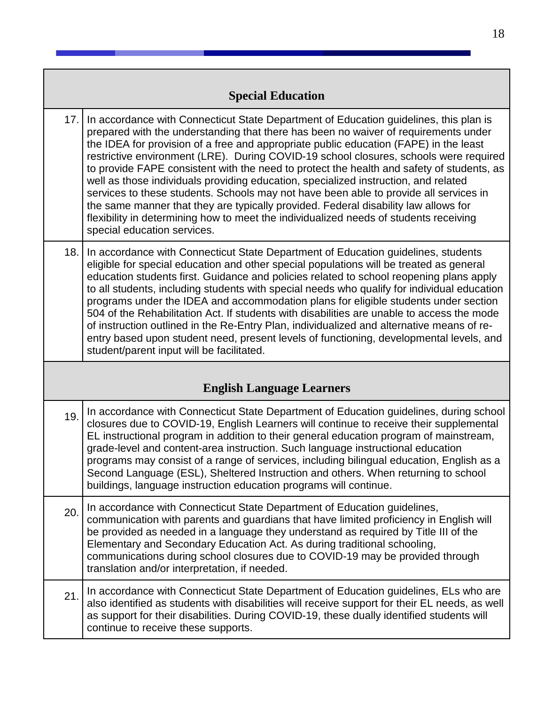|     | <b>Special Education</b>                                                                                                                                                                                                                                                                                                                                                                                                                                                                                                                                                                                                                                                                                                                                                                                                                                   |
|-----|------------------------------------------------------------------------------------------------------------------------------------------------------------------------------------------------------------------------------------------------------------------------------------------------------------------------------------------------------------------------------------------------------------------------------------------------------------------------------------------------------------------------------------------------------------------------------------------------------------------------------------------------------------------------------------------------------------------------------------------------------------------------------------------------------------------------------------------------------------|
| 17. | In accordance with Connecticut State Department of Education guidelines, this plan is<br>prepared with the understanding that there has been no waiver of requirements under<br>the IDEA for provision of a free and appropriate public education (FAPE) in the least<br>restrictive environment (LRE). During COVID-19 school closures, schools were required<br>to provide FAPE consistent with the need to protect the health and safety of students, as<br>well as those individuals providing education, specialized instruction, and related<br>services to these students. Schools may not have been able to provide all services in<br>the same manner that they are typically provided. Federal disability law allows for<br>flexibility in determining how to meet the individualized needs of students receiving<br>special education services. |
| 18. | In accordance with Connecticut State Department of Education guidelines, students<br>eligible for special education and other special populations will be treated as general<br>education students first. Guidance and policies related to school reopening plans apply<br>to all students, including students with special needs who qualify for individual education<br>programs under the IDEA and accommodation plans for eligible students under section<br>504 of the Rehabilitation Act. If students with disabilities are unable to access the mode<br>of instruction outlined in the Re-Entry Plan, individualized and alternative means of re-<br>entry based upon student need, present levels of functioning, developmental levels, and<br>student/parent input will be facilitated.                                                           |
|     | <b>English Language Learners</b>                                                                                                                                                                                                                                                                                                                                                                                                                                                                                                                                                                                                                                                                                                                                                                                                                           |
| 19. | In accordance with Connecticut State Department of Education guidelines, during school<br>closures due to COVID-19, English Learners will continue to receive their supplemental<br>EL instructional program in addition to their general education program of mainstream,<br>grade-level and content-area instruction. Such language instructional education<br>programs may consist of a range of services, including bilingual education, English as a<br>Second Language (ESL), Sheltered Instruction and others. When returning to school<br>buildings, language instruction education programs will continue.                                                                                                                                                                                                                                        |
| 20. | In accordance with Connecticut State Department of Education guidelines,<br>communication with parents and guardians that have limited proficiency in English will<br>be provided as needed in a language they understand as required by Title III of the<br>Elementary and Secondary Education Act. As during traditional schooling,<br>communications during school closures due to COVID-19 may be provided through<br>translation and/or interpretation, if needed.                                                                                                                                                                                                                                                                                                                                                                                    |
| 21. | In accordance with Connecticut State Department of Education guidelines, ELs who are<br>also identified as students with disabilities will receive support for their EL needs, as well<br>as support for their disabilities. During COVID-19, these dually identified students will<br>continue to receive these supports.                                                                                                                                                                                                                                                                                                                                                                                                                                                                                                                                 |

and the state

<span id="page-32-1"></span><span id="page-32-0"></span> $\blacksquare$ 

**Contract Contract**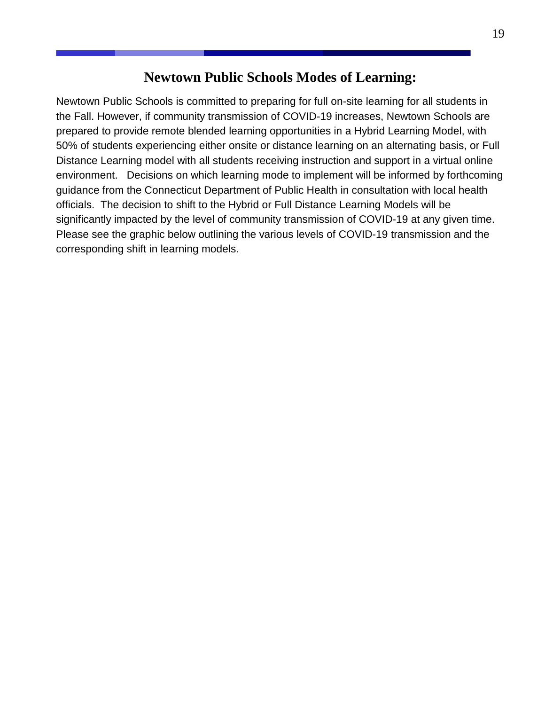## **Newtown Public Schools Modes of Learning:**

<span id="page-33-0"></span>Newtown Public Schools is committed to preparing for full on-site learning for all students in the Fall. However, if community transmission of COVID-19 increases, Newtown Schools are prepared to provide remote blended learning opportunities in a Hybrid Learning Model, with 50% of students experiencing either onsite or distance learning on an alternating basis, or Full Distance Learning model with all students receiving instruction and support in a virtual online environment. Decisions on which learning mode to implement will be informed by forthcoming guidance from the Connecticut Department of Public Health in consultation with local health officials. The decision to shift to the Hybrid or Full Distance Learning Models will be significantly impacted by the level of community transmission of COVID-19 at any given time. Please see the graphic below outlining the various levels of COVID-19 transmission and the corresponding shift in learning models.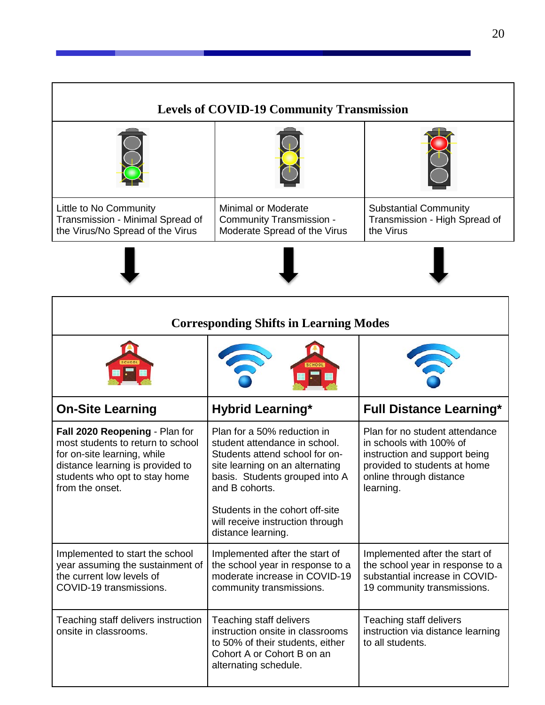<span id="page-34-0"></span>

| <b>Levels of COVID-19 Community Transmission</b>                                               |                                                                                        |                                                                            |  |
|------------------------------------------------------------------------------------------------|----------------------------------------------------------------------------------------|----------------------------------------------------------------------------|--|
|                                                                                                |                                                                                        |                                                                            |  |
| Little to No Community<br>Transmission - Minimal Spread of<br>the Virus/No Spread of the Virus | <b>Minimal or Moderate</b><br>Community Transmission -<br>Moderate Spread of the Virus | <b>Substantial Community</b><br>Transmission - High Spread of<br>the Virus |  |
|                                                                                                |                                                                                        |                                                                            |  |

<span id="page-34-1"></span>

| <b>Corresponding Shifts in Learning Modes</b>                                                                                                                                              |                                                                                                                                                                                                                                                                                    |                                                                                                                                                                    |  |
|--------------------------------------------------------------------------------------------------------------------------------------------------------------------------------------------|------------------------------------------------------------------------------------------------------------------------------------------------------------------------------------------------------------------------------------------------------------------------------------|--------------------------------------------------------------------------------------------------------------------------------------------------------------------|--|
|                                                                                                                                                                                            |                                                                                                                                                                                                                                                                                    |                                                                                                                                                                    |  |
| <b>On-Site Learning</b>                                                                                                                                                                    | <b>Hybrid Learning*</b>                                                                                                                                                                                                                                                            | <b>Full Distance Learning*</b>                                                                                                                                     |  |
| Fall 2020 Reopening - Plan for<br>most students to return to school<br>for on-site learning, while<br>distance learning is provided to<br>students who opt to stay home<br>from the onset. | Plan for a 50% reduction in<br>student attendance in school.<br>Students attend school for on-<br>site learning on an alternating<br>basis. Students grouped into A<br>and B cohorts.<br>Students in the cohort off-site<br>will receive instruction through<br>distance learning. | Plan for no student attendance<br>in schools with 100% of<br>instruction and support being<br>provided to students at home<br>online through distance<br>learning. |  |
| Implemented to start the school<br>year assuming the sustainment of<br>the current low levels of<br>COVID-19 transmissions.                                                                | Implemented after the start of<br>the school year in response to a<br>moderate increase in COVID-19<br>community transmissions.                                                                                                                                                    | Implemented after the start of<br>the school year in response to a<br>substantial increase in COVID-<br>19 community transmissions.                                |  |
| Teaching staff delivers instruction<br>onsite in classrooms.                                                                                                                               | Teaching staff delivers<br>instruction onsite in classrooms<br>to 50% of their students, either<br>Cohort A or Cohort B on an<br>alternating schedule.                                                                                                                             | Teaching staff delivers<br>instruction via distance learning<br>to all students.                                                                                   |  |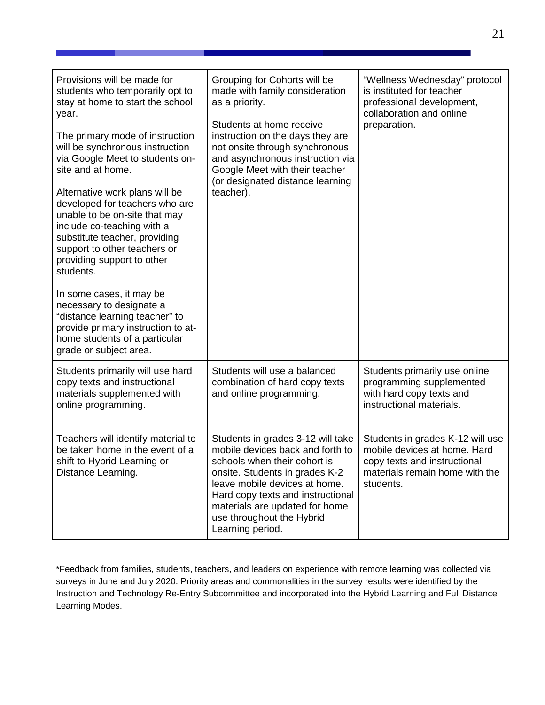| Provisions will be made for<br>students who temporarily opt to<br>stay at home to start the school<br>year.<br>The primary mode of instruction<br>will be synchronous instruction<br>via Google Meet to students on-<br>site and at home.<br>Alternative work plans will be<br>developed for teachers who are<br>unable to be on-site that may<br>include co-teaching with a<br>substitute teacher, providing<br>support to other teachers or<br>providing support to other<br>students.<br>In some cases, it may be<br>necessary to designate a<br>"distance learning teacher" to<br>provide primary instruction to at-<br>home students of a particular<br>grade or subject area. | Grouping for Cohorts will be<br>made with family consideration<br>as a priority.<br>Students at home receive<br>instruction on the days they are<br>not onsite through synchronous<br>and asynchronous instruction via<br>Google Meet with their teacher<br>(or designated distance learning<br>teacher). | "Wellness Wednesday" protocol<br>is instituted for teacher<br>professional development,<br>collaboration and online<br>preparation.             |
|-------------------------------------------------------------------------------------------------------------------------------------------------------------------------------------------------------------------------------------------------------------------------------------------------------------------------------------------------------------------------------------------------------------------------------------------------------------------------------------------------------------------------------------------------------------------------------------------------------------------------------------------------------------------------------------|-----------------------------------------------------------------------------------------------------------------------------------------------------------------------------------------------------------------------------------------------------------------------------------------------------------|-------------------------------------------------------------------------------------------------------------------------------------------------|
| Students primarily will use hard<br>copy texts and instructional<br>materials supplemented with<br>online programming.                                                                                                                                                                                                                                                                                                                                                                                                                                                                                                                                                              | Students will use a balanced<br>combination of hard copy texts<br>and online programming.                                                                                                                                                                                                                 | Students primarily use online<br>programming supplemented<br>with hard copy texts and<br>instructional materials.                               |
| Teachers will identify material to<br>be taken home in the event of a<br>shift to Hybrid Learning or<br>Distance Learning.                                                                                                                                                                                                                                                                                                                                                                                                                                                                                                                                                          | Students in grades 3-12 will take<br>mobile devices back and forth to<br>schools when their cohort is<br>onsite. Students in grades K-2<br>leave mobile devices at home.<br>Hard copy texts and instructional<br>materials are updated for home<br>use throughout the Hybrid<br>Learning period.          | Students in grades K-12 will use<br>mobile devices at home. Hard<br>copy texts and instructional<br>materials remain home with the<br>students. |

\*Feedback from families, students, teachers, and leaders on experience with remote learning was collected via surveys in June and July 2020. Priority areas and commonalities in the survey results were identified by the Instruction and Technology Re-Entry Subcommittee and incorporated into the Hybrid Learning and Full Distance Learning Modes.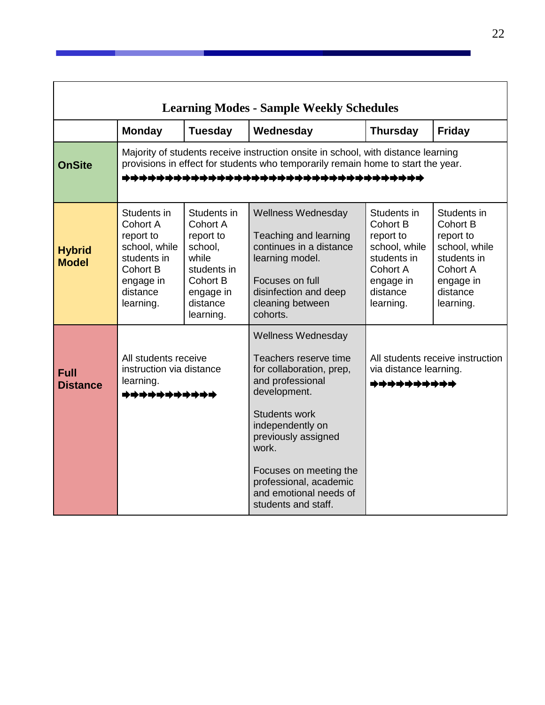<span id="page-36-0"></span>

| <b>Learning Modes - Sample Weekly Schedules</b> |                                                                                                                                                                                                                |                                                                                                                                  |                                                                                                                                                                                                                                                                              |                                                                                                                        |                                                                                                                               |
|-------------------------------------------------|----------------------------------------------------------------------------------------------------------------------------------------------------------------------------------------------------------------|----------------------------------------------------------------------------------------------------------------------------------|------------------------------------------------------------------------------------------------------------------------------------------------------------------------------------------------------------------------------------------------------------------------------|------------------------------------------------------------------------------------------------------------------------|-------------------------------------------------------------------------------------------------------------------------------|
|                                                 | <b>Monday</b>                                                                                                                                                                                                  | <b>Tuesday</b>                                                                                                                   | Wednesday                                                                                                                                                                                                                                                                    | <b>Thursday</b>                                                                                                        | <b>Friday</b>                                                                                                                 |
| <b>OnSite</b>                                   | Majority of students receive instruction onsite in school, with distance learning<br>provisions in effect for students who temporarily remain home to start the year.<br>************************************* |                                                                                                                                  |                                                                                                                                                                                                                                                                              |                                                                                                                        |                                                                                                                               |
| <b>Hybrid</b><br><b>Model</b>                   | Students in<br>Cohort A<br>report to<br>school, while<br>students in<br>Cohort B<br>engage in<br>distance<br>learning.                                                                                         | Students in<br>Cohort A<br>report to<br>school,<br>while<br>students in<br><b>Cohort B</b><br>engage in<br>distance<br>learning. | <b>Wellness Wednesday</b><br>Teaching and learning<br>continues in a distance<br>learning model.<br>Focuses on full<br>disinfection and deep<br>cleaning between<br>cohorts.                                                                                                 | Students in<br>Cohort B<br>report to<br>school, while<br>students in<br>Cohort A<br>engage in<br>distance<br>learning. | Students in<br><b>Cohort B</b><br>report to<br>school, while<br>students in<br>Cohort A<br>engage in<br>distance<br>learning. |
| <b>Full</b><br><b>Distance</b>                  | All students receive<br>instruction via distance<br>learning.<br>***********                                                                                                                                   |                                                                                                                                  | <b>Wellness Wednesday</b><br>Teachers reserve time<br>for collaboration, prep,<br>and professional<br>development.<br><b>Students work</b><br>independently on<br>previously assigned<br>work.<br>Focuses on meeting the<br>professional, academic<br>and emotional needs of | All students receive instruction<br>via distance learning.<br>**********                                               |                                                                                                                               |

<u> 1999 - Jan Jawa</u>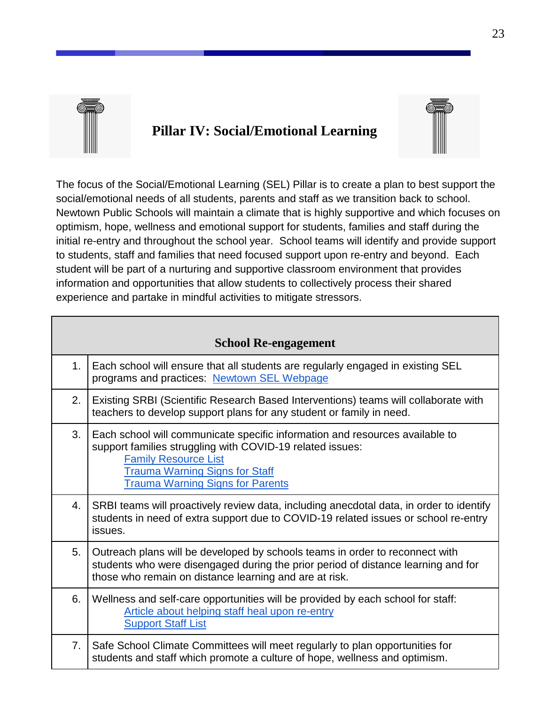

## <span id="page-37-0"></span>**Pillar IV: Social/Emotional Learning**



The focus of the Social/Emotional Learning (SEL) Pillar is to create a plan to best support the social/emotional needs of all students, parents and staff as we transition back to school. Newtown Public Schools will maintain a climate that is highly supportive and which focuses on optimism, hope, wellness and emotional support for students, families and staff during the initial re-entry and throughout the school year. School teams will identify and provide support to students, staff and families that need focused support upon re-entry and beyond. Each student will be part of a nurturing and supportive classroom environment that provides information and opportunities that allow students to collectively process their shared experience and partake in mindful activities to mitigate stressors.

<span id="page-37-1"></span>

|    | <b>School Re-engagement</b>                                                                                                                                                                                                                                  |
|----|--------------------------------------------------------------------------------------------------------------------------------------------------------------------------------------------------------------------------------------------------------------|
| 1. | Each school will ensure that all students are regularly engaged in existing SEL<br>programs and practices: Newtown SEL Webpage                                                                                                                               |
| 2. | Existing SRBI (Scientific Research Based Interventions) teams will collaborate with<br>teachers to develop support plans for any student or family in need.                                                                                                  |
| 3. | Each school will communicate specific information and resources available to<br>support families struggling with COVID-19 related issues:<br><b>Family Resource List</b><br><b>Trauma Warning Signs for Staff</b><br><b>Trauma Warning Signs for Parents</b> |
| 4. | SRBI teams will proactively review data, including anecdotal data, in order to identify<br>students in need of extra support due to COVID-19 related issues or school re-entry<br>issues.                                                                    |
| 5. | Outreach plans will be developed by schools teams in order to reconnect with<br>students who were disengaged during the prior period of distance learning and for<br>those who remain on distance learning and are at risk.                                  |
| 6. | Wellness and self-care opportunities will be provided by each school for staff:<br>Article about helping staff heal upon re-entry<br><b>Support Staff List</b>                                                                                               |
| 7. | Safe School Climate Committees will meet regularly to plan opportunities for<br>students and staff which promote a culture of hope, wellness and optimism.                                                                                                   |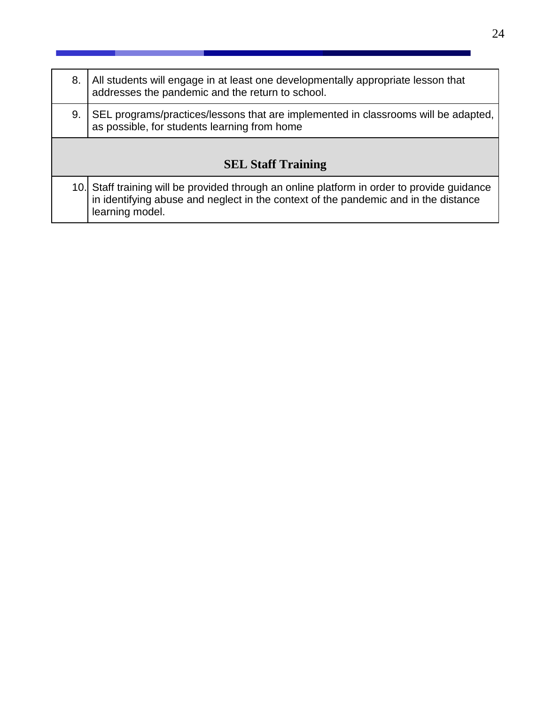<span id="page-38-0"></span>

| 8. | All students will engage in at least one developmentally appropriate lesson that<br>addresses the pandemic and the return to school.                                                                  |
|----|-------------------------------------------------------------------------------------------------------------------------------------------------------------------------------------------------------|
| 9. | SEL programs/practices/lessons that are implemented in classrooms will be adapted,<br>as possible, for students learning from home                                                                    |
|    | <b>SEL Staff Training</b>                                                                                                                                                                             |
|    | 10. Staff training will be provided through an online platform in order to provide guidance<br>in identifying abuse and neglect in the context of the pandemic and in the distance<br>learning model. |

a sa b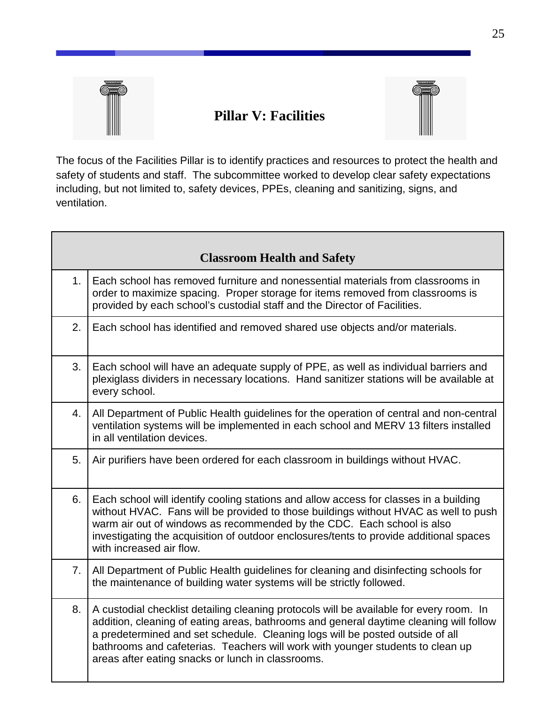

## <span id="page-39-0"></span>**Pillar V: Facilities**



The focus of the Facilities Pillar is to identify practices and resources to protect the health and safety of students and staff. The subcommittee worked to develop clear safety expectations including, but not limited to, safety devices, PPEs, cleaning and sanitizing, signs, and ventilation.

<span id="page-39-1"></span>

|    | <b>Classroom Health and Safety</b>                                                                                                                                                                                                                                                                                                                                                                        |
|----|-----------------------------------------------------------------------------------------------------------------------------------------------------------------------------------------------------------------------------------------------------------------------------------------------------------------------------------------------------------------------------------------------------------|
| 1. | Each school has removed furniture and nonessential materials from classrooms in<br>order to maximize spacing. Proper storage for items removed from classrooms is<br>provided by each school's custodial staff and the Director of Facilities.                                                                                                                                                            |
| 2. | Each school has identified and removed shared use objects and/or materials.                                                                                                                                                                                                                                                                                                                               |
| 3. | Each school will have an adequate supply of PPE, as well as individual barriers and<br>plexiglass dividers in necessary locations. Hand sanitizer stations will be available at<br>every school.                                                                                                                                                                                                          |
| 4. | All Department of Public Health guidelines for the operation of central and non-central<br>ventilation systems will be implemented in each school and MERV 13 filters installed<br>in all ventilation devices.                                                                                                                                                                                            |
| 5. | Air purifiers have been ordered for each classroom in buildings without HVAC.                                                                                                                                                                                                                                                                                                                             |
| 6. | Each school will identify cooling stations and allow access for classes in a building<br>without HVAC. Fans will be provided to those buildings without HVAC as well to push<br>warm air out of windows as recommended by the CDC. Each school is also<br>investigating the acquisition of outdoor enclosures/tents to provide additional spaces<br>with increased air flow.                              |
| 7. | All Department of Public Health guidelines for cleaning and disinfecting schools for<br>the maintenance of building water systems will be strictly followed.                                                                                                                                                                                                                                              |
| 8. | A custodial checklist detailing cleaning protocols will be available for every room. In<br>addition, cleaning of eating areas, bathrooms and general daytime cleaning will follow<br>a predetermined and set schedule. Cleaning logs will be posted outside of all<br>bathrooms and cafeterias. Teachers will work with younger students to clean up<br>areas after eating snacks or lunch in classrooms. |

 $\overline{\mathbf{1}}$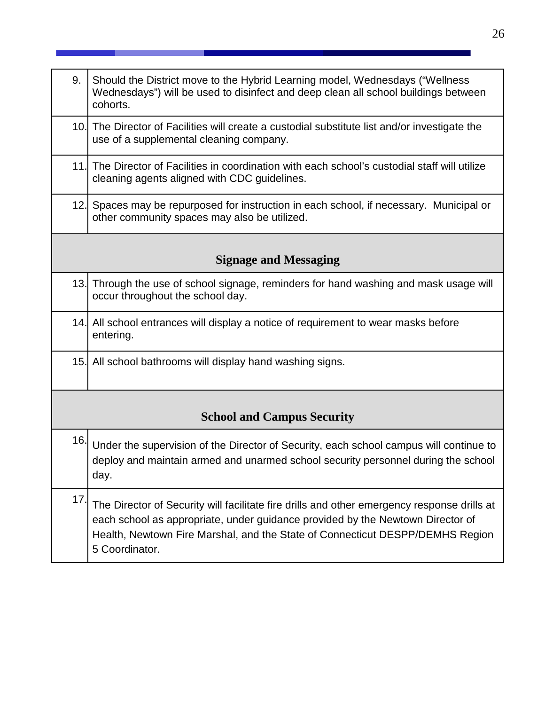<span id="page-40-1"></span><span id="page-40-0"></span>

| 9.  | Should the District move to the Hybrid Learning model, Wednesdays ("Wellness"<br>Wednesdays") will be used to disinfect and deep clean all school buildings between<br>cohorts.                                                                                                  |
|-----|----------------------------------------------------------------------------------------------------------------------------------------------------------------------------------------------------------------------------------------------------------------------------------|
|     | 10. The Director of Facilities will create a custodial substitute list and/or investigate the<br>use of a supplemental cleaning company.                                                                                                                                         |
|     | 11. The Director of Facilities in coordination with each school's custodial staff will utilize<br>cleaning agents aligned with CDC guidelines.                                                                                                                                   |
| 12. | Spaces may be repurposed for instruction in each school, if necessary. Municipal or<br>other community spaces may also be utilized.                                                                                                                                              |
|     | <b>Signage and Messaging</b>                                                                                                                                                                                                                                                     |
|     | 13. Through the use of school signage, reminders for hand washing and mask usage will<br>occur throughout the school day.                                                                                                                                                        |
|     | 14. All school entrances will display a notice of requirement to wear masks before<br>entering.                                                                                                                                                                                  |
|     | 15. All school bathrooms will display hand washing signs.                                                                                                                                                                                                                        |
|     | <b>School and Campus Security</b>                                                                                                                                                                                                                                                |
| 16. | Under the supervision of the Director of Security, each school campus will continue to<br>deploy and maintain armed and unarmed school security personnel during the school<br>day.                                                                                              |
| 17. | The Director of Security will facilitate fire drills and other emergency response drills at<br>each school as appropriate, under guidance provided by the Newtown Director of<br>Health, Newtown Fire Marshal, and the State of Connecticut DESPP/DEMHS Region<br>5 Coordinator. |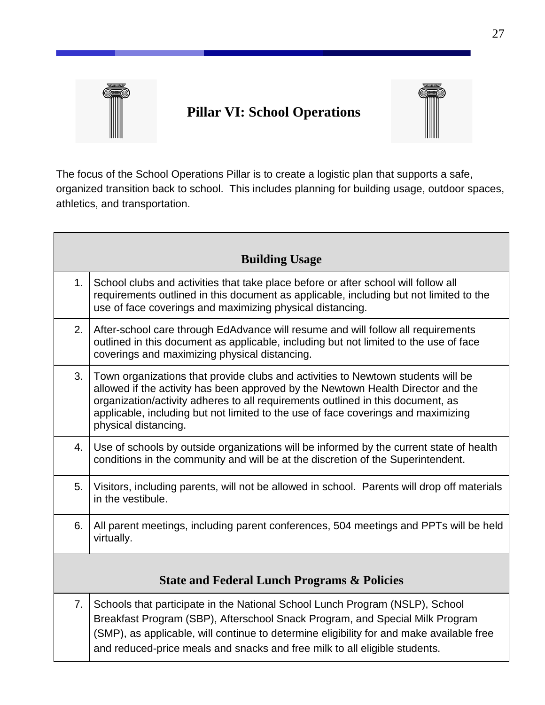

## <span id="page-41-0"></span>**Pillar VI: School Operations**



The focus of the School Operations Pillar is to create a logistic plan that supports a safe, organized transition back to school. This includes planning for building usage, outdoor spaces, athletics, and transportation.

<span id="page-41-2"></span><span id="page-41-1"></span>

|                | <b>Building Usage</b>                                                                                                                                                                                                                                                                                                                                                |
|----------------|----------------------------------------------------------------------------------------------------------------------------------------------------------------------------------------------------------------------------------------------------------------------------------------------------------------------------------------------------------------------|
| 1.             | School clubs and activities that take place before or after school will follow all<br>requirements outlined in this document as applicable, including but not limited to the<br>use of face coverings and maximizing physical distancing.                                                                                                                            |
| 2.             | After-school care through EdAdvance will resume and will follow all requirements<br>outlined in this document as applicable, including but not limited to the use of face<br>coverings and maximizing physical distancing.                                                                                                                                           |
| 3.             | Town organizations that provide clubs and activities to Newtown students will be<br>allowed if the activity has been approved by the Newtown Health Director and the<br>organization/activity adheres to all requirements outlined in this document, as<br>applicable, including but not limited to the use of face coverings and maximizing<br>physical distancing. |
| 4.             | Use of schools by outside organizations will be informed by the current state of health<br>conditions in the community and will be at the discretion of the Superintendent.                                                                                                                                                                                          |
| 5.             | Visitors, including parents, will not be allowed in school. Parents will drop off materials<br>in the vestibule.                                                                                                                                                                                                                                                     |
| 6.             | All parent meetings, including parent conferences, 504 meetings and PPTs will be held<br>virtually.                                                                                                                                                                                                                                                                  |
|                | <b>State and Federal Lunch Programs &amp; Policies</b>                                                                                                                                                                                                                                                                                                               |
| 7 <sub>1</sub> | Schools that participate in the National School Lunch Program (NSLP), School<br>Breakfast Program (SBP), Afterschool Snack Program, and Special Milk Program<br>(SMP), as applicable, will continue to determine eligibility for and make available free<br>and reduced-price meals and snacks and free milk to all eligible students.                               |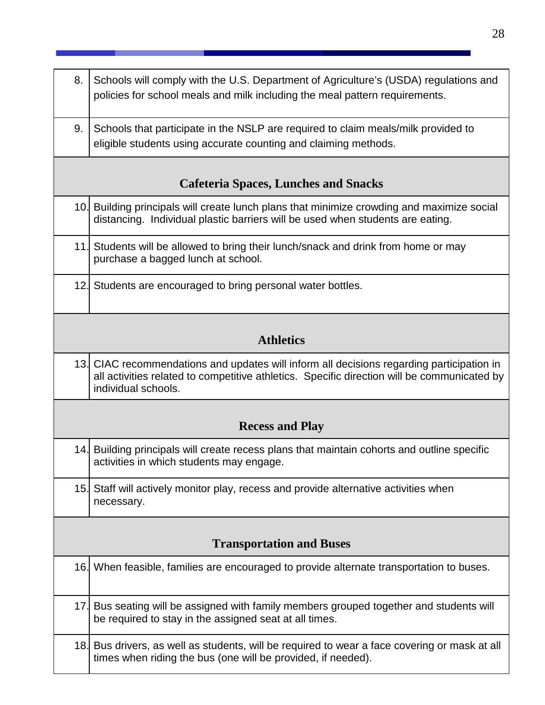<span id="page-42-3"></span><span id="page-42-2"></span><span id="page-42-1"></span><span id="page-42-0"></span>

| 8. | Schools will comply with the U.S. Department of Agriculture's (USDA) regulations and<br>policies for school meals and milk including the meal pattern requirements.                                             |
|----|-----------------------------------------------------------------------------------------------------------------------------------------------------------------------------------------------------------------|
| 9. | Schools that participate in the NSLP are required to claim meals/milk provided to<br>eligible students using accurate counting and claiming methods.                                                            |
|    | <b>Cafeteria Spaces, Lunches and Snacks</b>                                                                                                                                                                     |
|    | 10. Building principals will create lunch plans that minimize crowding and maximize social<br>distancing. Individual plastic barriers will be used when students are eating.                                    |
|    | 11. Students will be allowed to bring their lunch/snack and drink from home or may<br>purchase a bagged lunch at school.                                                                                        |
|    | 12. Students are encouraged to bring personal water bottles.                                                                                                                                                    |
|    | <b>Athletics</b>                                                                                                                                                                                                |
|    | 13. CIAC recommendations and updates will inform all decisions regarding participation in<br>all activities related to competitive athletics. Specific direction will be communicated by<br>individual schools. |
|    | <b>Recess and Play</b>                                                                                                                                                                                          |
|    | 14. Building principals will create recess plans that maintain cohorts and outline specific<br>activities in which students may engage.                                                                         |
|    | 15. Staff will actively monitor play, recess and provide alternative activities when<br>necessary.                                                                                                              |
|    | <b>Transportation and Buses</b>                                                                                                                                                                                 |
|    | 16. When feasible, families are encouraged to provide alternate transportation to buses.                                                                                                                        |
|    | 17. Bus seating will be assigned with family members grouped together and students will<br>be required to stay in the assigned seat at all times.                                                               |
|    | 18. Bus drivers, as well as students, will be required to wear a face covering or mask at all<br>times when riding the bus (one will be provided, if needed).                                                   |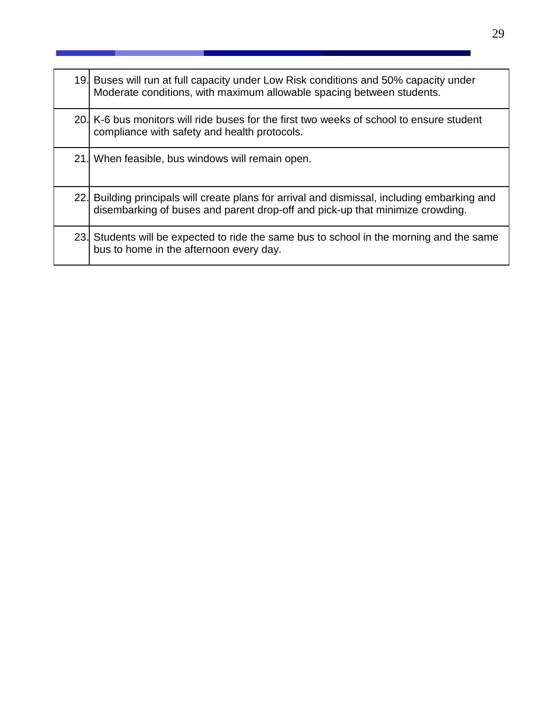| 19. Buses will run at full capacity under Low Risk conditions and 50% capacity under<br>Moderate conditions, with maximum allowable spacing between students.                 |
|-------------------------------------------------------------------------------------------------------------------------------------------------------------------------------|
| 20. K-6 bus monitors will ride buses for the first two weeks of school to ensure student<br>compliance with safety and health protocols.                                      |
| 21. When feasible, bus windows will remain open.                                                                                                                              |
| 22. Building principals will create plans for arrival and dismissal, including embarking and<br>disembarking of buses and parent drop-off and pick-up that minimize crowding. |
| 23. Students will be expected to ride the same bus to school in the morning and the same<br>bus to home in the afternoon every day.                                           |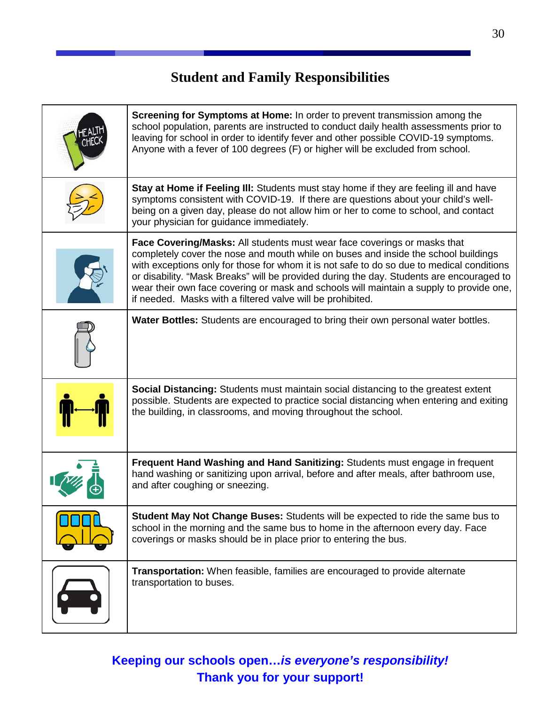## **Student and Family Responsibilities**

<span id="page-44-0"></span>

| <b>Screening for Symptoms at Home:</b> In order to prevent transmission among the<br>school population, parents are instructed to conduct daily health assessments prior to<br>leaving for school in order to identify fever and other possible COVID-19 symptoms.<br>Anyone with a fever of 100 degrees (F) or higher will be excluded from school.                                                                                                                                                                    |
|-------------------------------------------------------------------------------------------------------------------------------------------------------------------------------------------------------------------------------------------------------------------------------------------------------------------------------------------------------------------------------------------------------------------------------------------------------------------------------------------------------------------------|
| Stay at Home if Feeling III: Students must stay home if they are feeling ill and have<br>symptoms consistent with COVID-19. If there are questions about your child's well-<br>being on a given day, please do not allow him or her to come to school, and contact<br>your physician for guidance immediately.                                                                                                                                                                                                          |
| <b>Face Covering/Masks:</b> All students must wear face coverings or masks that<br>completely cover the nose and mouth while on buses and inside the school buildings<br>with exceptions only for those for whom it is not safe to do so due to medical conditions<br>or disability. "Mask Breaks" will be provided during the day. Students are encouraged to<br>wear their own face covering or mask and schools will maintain a supply to provide one,<br>if needed. Masks with a filtered valve will be prohibited. |
| <b>Water Bottles:</b> Students are encouraged to bring their own personal water bottles.                                                                                                                                                                                                                                                                                                                                                                                                                                |
| Social Distancing: Students must maintain social distancing to the greatest extent<br>possible. Students are expected to practice social distancing when entering and exiting<br>the building, in classrooms, and moving throughout the school.                                                                                                                                                                                                                                                                         |
| Frequent Hand Washing and Hand Sanitizing: Students must engage in frequent<br>hand washing or sanitizing upon arrival, before and after meals, after bathroom use,<br>and after coughing or sneezing.                                                                                                                                                                                                                                                                                                                  |
| <b>Student May Not Change Buses:</b> Students will be expected to ride the same bus to<br>school in the morning and the same bus to home in the afternoon every day. Face<br>coverings or masks should be in place prior to entering the bus.                                                                                                                                                                                                                                                                           |
| <b>Transportation:</b> When feasible, families are encouraged to provide alternate<br>transportation to buses.                                                                                                                                                                                                                                                                                                                                                                                                          |

## **Keeping our schools open…***is everyone's responsibility!*  **Thank you for your support!**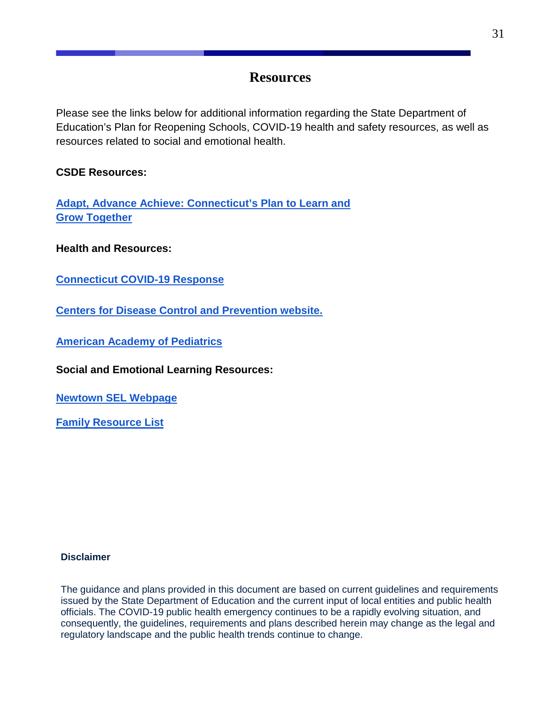## **Resources**

<span id="page-45-0"></span>Please see the links below for additional information regarding the State Department of Education's Plan for Reopening Schools, COVID-19 health and safety resources, as well as resources related to social and emotional health.

### **CSDE Resources:**

**[Adapt, Advance Achieve: Connecticut's](https://portal.ct.gov/-/media/SDE/COVID-19/CTReopeningSchools.pdf) Plan to Learn and [Grow Together](https://portal.ct.gov/-/media/SDE/COVID-19/CTReopeningSchools.pdf)**

**Health and Resources:**

**[Connecticut COVID-19 Response](https://portal.ct.gov/Coronavirus)**

**[Centers for Disease Control and Prevention website.](http://www.cdc.gov/)**

**[American Academy of Pediatrics](https://www.aap.org/en-us/Pages/Default.aspx)**

**Social and Emotional Learning Resources:**

**[Newtown SEL Webpage](http://newtown.k12.ct.us/SEL)**

**[Family Resource List](https://docs.google.com/document/d/105jSRxwu2B4gWltb6lpY7r8Zeb4ohqMRJ96Su5wcb9M/edit)**

#### **Disclaimer**

The guidance and plans provided in this document are based on current guidelines and requirements issued by the State Department of Education and the current input of local entities and public health officials. The COVID-19 public health emergency continues to be a rapidly evolving situation, and consequently, the guidelines, requirements and plans described herein may change as the legal and regulatory landscape and the public health trends continue to change.